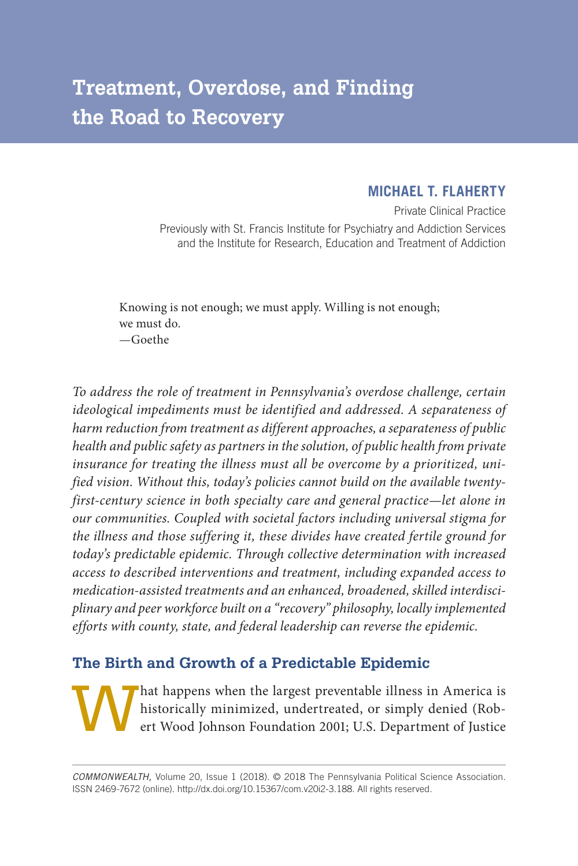# **Treatment, Overdose, and Finding the Road to Recovery**

# **MICHAEL T. FLAHERTY**

Private Clinical Practice Previously with St. Francis Institute for Psychiatry and Addiction Services and the Institute for Research, Education and Treatment of Addiction

Knowing is not enough; we must apply. Willing is not enough; we must do. —Goethe

*To address the role of treatment in Pennsylvania's overdose challenge, certain ideological impediments must be identified and addressed. A separateness of harm reduction from treatment as different approaches, a separateness of public health and public safety as partners in the solution, of public health from private insurance for treating the illness must all be overcome by a prioritized, unified vision. Without this, today's policies cannot build on the available twentyfirst-century science in both specialty care and general practice—let alone in our communities. Coupled with societal factors including universal stigma for the illness and those suffering it, these divides have created fertile ground for today's predictable epidemic. Through collective determination with increased access to described interventions and treatment, including expanded access to medication- assisted treatments and an enhanced, broadened, skilled interdisciplinary and peer workforce built on a "recovery" philosophy, locally implemented efforts with county, state, and federal leadership can reverse the epidemic.*

# **The Birth and Growth of a Predictable Epidemic**

That happens when the largest preventable illness in America is<br>historically minimized, undertreated, or simply denied (Rob-<br>ert Wood Johnson Foundation 2001; U.S. Department of Justice historically minimized, undertreated, or simply denied (Robert Wood Johnson Foundation 2001; U.S. Department of Justice

*COMMONWEALTH,* Volume 20, Issue 1 (2018). © 2018 The Pennsylvania Political Science Association. ISSN 2469-7672 (online). http://dx.doi.org/10.15367/com.v20i2-3.188. All rights reserved.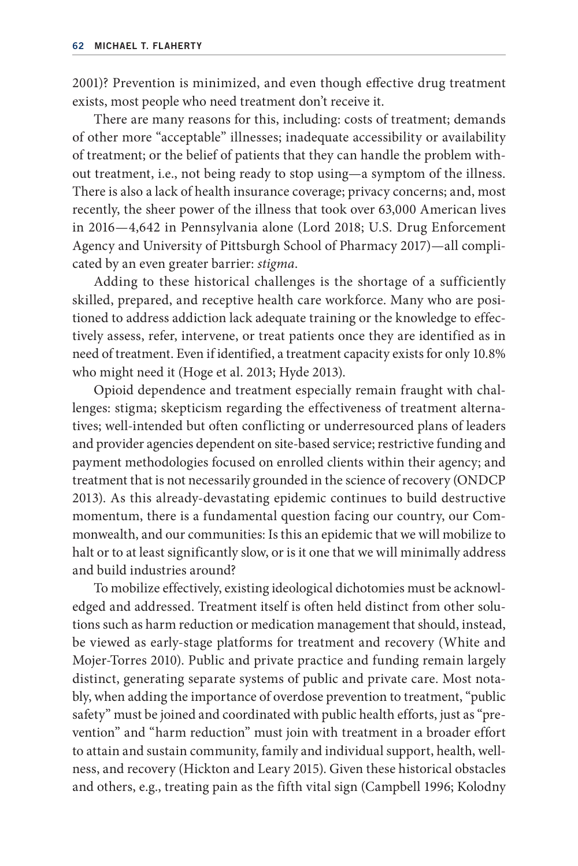2001)? Prevention is minimized, and even though effective drug treatment exists, most people who need treatment don't receive it.

There are many reasons for this, including: costs of treatment; demands of other more "acceptable" illnesses; inadequate accessibility or availability of treatment; or the belief of patients that they can handle the problem without treatment, i.e., not being ready to stop using—a symptom of the illness. There is also a lack of health insurance coverage; privacy concerns; and, most recently, the sheer power of the illness that took over 63,000 American lives in 2016—4,642 in Pennsylvania alone (Lord 2018; U.S. Drug Enforcement Agency and University of Pittsburgh School of Pharmacy 2017)—all complicated by an even greater barrier: *stigma*.

Adding to these historical challenges is the shortage of a sufficiently skilled, prepared, and receptive health care workforce. Many who are positioned to address addiction lack adequate training or the knowledge to effectively assess, refer, intervene, or treat patients once they are identified as in need of treatment. Even if identified, a treatment capacity exists for only 10.8% who might need it (Hoge et al. 2013; Hyde 2013).

Opioid dependence and treatment especially remain fraught with challenges: stigma; skepticism regarding the effectiveness of treatment alternatives; well-intended but often conflicting or underresourced plans of leaders and provider agencies dependent on site-based service; restrictive funding and payment methodologies focused on enrolled clients within their agency; and treatment that is not necessarily grounded in the science of recovery (ONDCP 2013). As this already- devastating epidemic continues to build destructive momentum, there is a fundamental question facing our country, our Commonwealth, and our communities: Is this an epidemic that we will mobilize to halt or to at least significantly slow, or is it one that we will minimally address and build industries around?

To mobilize effectively, existing ideological dichotomies must be acknowledged and addressed. Treatment itself is often held distinct from other solutions such as harm reduction or medication management that should, instead, be viewed as early-stage platforms for treatment and recovery (White and Mojer- Torres 2010). Public and private practice and funding remain largely distinct, generating separate systems of public and private care. Most notably, when adding the importance of overdose prevention to treatment, "public safety" must be joined and coordinated with public health efforts, just as "prevention" and "harm reduction" must join with treatment in a broader effort to attain and sustain community, family and individual support, health, wellness, and recovery (Hickton and Leary 2015). Given these historical obstacles and others, e.g., treating pain as the fifth vital sign (Campbell 1996; Kolodny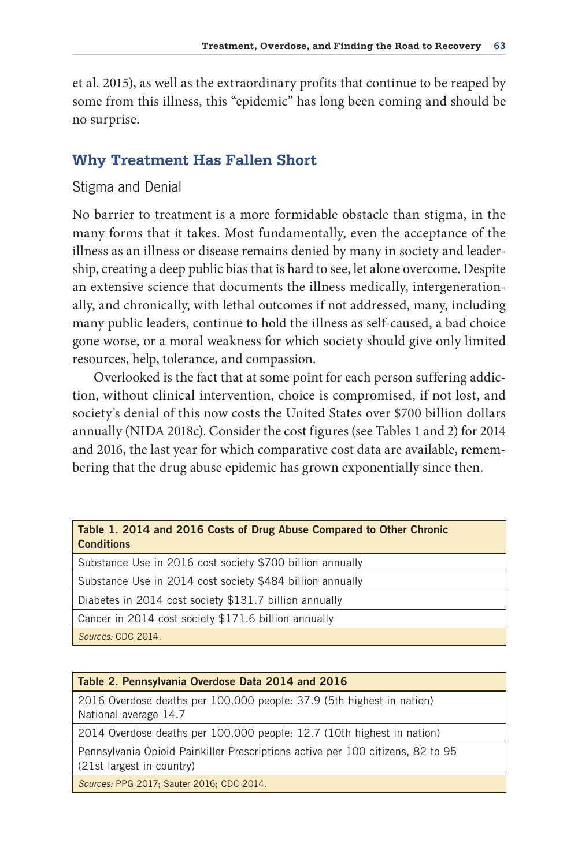et al. 2015), as well as the extraordinary profits that continue to be reaped by some from this illness, this "epidemic" has long been coming and should be no surprise.

# **Why Treatment Has Fallen Short**

# Stigma and Denial

No barrier to treatment is a more formidable obstacle than stigma, in the many forms that it takes. Most fundamentally, even the acceptance of the illness as an illness or disease remains denied by many in society and leadership, creating a deep public bias that is hard to see, let alone overcome. Despite an extensive science that documents the illness medically, intergenerationally, and chronically, with lethal outcomes if not addressed, many, including many public leaders, continue to hold the illness as self- caused, a bad choice gone worse, or a moral weakness for which society should give only limited resources, help, tolerance, and compassion.

Overlooked is the fact that at some point for each person suffering addiction, without clinical intervention, choice is compromised, if not lost, and society's denial of this now costs the United States over \$700 billion dollars annually (NIDA 2018c). Consider the cost figures (see Tables 1 and 2) for 2014 and 2016, the last year for which comparative cost data are available, remembering that the drug abuse epidemic has grown exponentially since then.

### Table 1. 2014 and 2016 costs of Drug abuse compared to Other chronic **Conditions**

Substance Use in 2016 cost society \$700 billion annually

Substance Use in 2014 cost society \$484 billion annually

Diabetes in 2014 cost society \$131.7 billion annually

Cancer in 2014 cost society \$171.6 billion annually

*Sources:* CDC 2014.

#### Table 2. Pennsylvania Overdose Data 2014 and 2016

2016 Overdose deaths per 100,000 people: 37.9 (5th highest in nation) National average 14.7

2014 Overdose deaths per 100,000 people: 12.7 (10th highest in nation)

Pennsylvania Opioid Painkiller Prescriptions active per 100 citizens, 82 to 95 (21st largest in country)

*Sources:* PPG 2017; Sauter 2016; CDC 2014.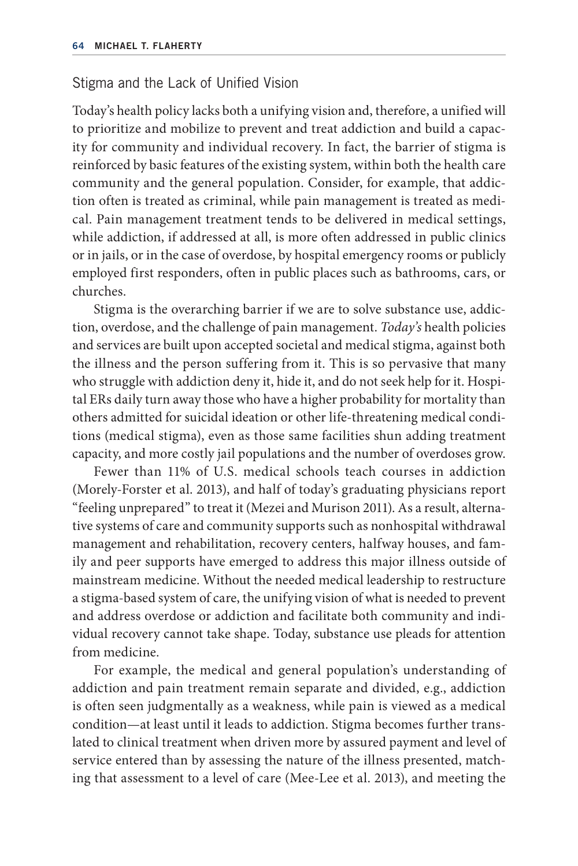### Stigma and the Lack of Unified Vision

Today's health policy lacks both a unifying vision and, therefore, a unified will to prioritize and mobilize to prevent and treat addiction and build a capacity for community and individual recovery. In fact, the barrier of stigma is reinforced by basic features of the existing system, within both the health care community and the general population. Consider, for example, that addiction often is treated as criminal, while pain management is treated as medical. Pain management treatment tends to be delivered in medical settings, while addiction, if addressed at all, is more often addressed in public clinics or in jails, or in the case of overdose, by hospital emergency rooms or publicly employed first responders, often in public places such as bathrooms, cars, or churches.

Stigma is the overarching barrier if we are to solve substance use, addiction, overdose, and the challenge of pain management. *Today's* health policies and services are built upon accepted societal and medical stigma, against both the illness and the person suffering from it. This is so pervasive that many who struggle with addiction deny it, hide it, and do not seek help for it. Hospital ERs daily turn away those who have a higher probability for mortality than others admitted for suicidal ideation or other life- threatening medical conditions (medical stigma), even as those same facilities shun adding treatment capacity, and more costly jail populations and the number of overdoses grow.

Fewer than 11% of U.S. medical schools teach courses in addiction (Morely- Forster et al. 2013), and half of today's graduating physicians report "feeling unprepared" to treat it (Mezei and Murison 2011). As a result, alternative systems of care and community supports such as nonhospital withdrawal management and rehabilitation, recovery centers, halfway houses, and family and peer supports have emerged to address this major illness outside of mainstream medicine. Without the needed medical leadership to restructure a stigma- based system of care, the unifying vision of what is needed to prevent and address overdose or addiction and facilitate both community and individual recovery cannot take shape. Today, substance use pleads for attention from medicine.

For example, the medical and general population's understanding of addiction and pain treatment remain separate and divided, e.g., addiction is often seen judgmentally as a weakness, while pain is viewed as a medical condition—at least until it leads to addiction. Stigma becomes further translated to clinical treatment when driven more by assured payment and level of service entered than by assessing the nature of the illness presented, matching that assessment to a level of care (Mee- Lee et al. 2013), and meeting the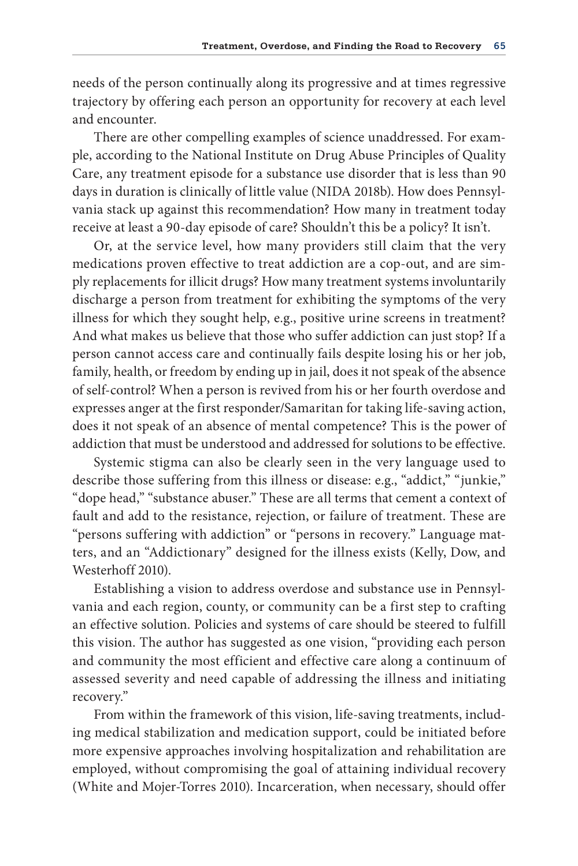needs of the person continually along its progressive and at times regressive trajectory by offering each person an opportunity for recovery at each level and encounter.

There are other compelling examples of science unaddressed. For example, according to the National Institute on Drug Abuse Principles of Quality Care, any treatment episode for a substance use disorder that is less than 90 days in duration is clinically of little value (NIDA 2018b). How does Pennsylvania stack up against this recommendation? How many in treatment today receive at least a 90-day episode of care? Shouldn't this be a policy? It isn't.

Or, at the service level, how many providers still claim that the very medications proven effective to treat addiction are a cop-out, and are simply replacements for illicit drugs? How many treatment systems involuntarily discharge a person from treatment for exhibiting the symptoms of the very illness for which they sought help, e.g., positive urine screens in treatment? And what makes us believe that those who suffer addiction can just stop? If a person cannot access care and continually fails despite losing his or her job, family, health, or freedom by ending up in jail, does it not speak of the absence of self- control? When a person is revived from his or her fourth overdose and expresses anger at the first responder/Samaritan for taking life- saving action, does it not speak of an absence of mental competence? This is the power of addiction that must be understood and addressed for solutions to be effective.

Systemic stigma can also be clearly seen in the very language used to describe those suffering from this illness or disease: e.g., "addict," "junkie," "dope head," "substance abuser." These are all terms that cement a context of fault and add to the resistance, rejection, or failure of treatment. These are "persons suffering with addiction" or "persons in recovery." Language matters, and an "Addictionary" designed for the illness exists (Kelly, Dow, and Westerhoff 2010).

Establishing a vision to address overdose and substance use in Pennsylvania and each region, county, or community can be a first step to crafting an effective solution. Policies and systems of care should be steered to fulfill this vision. The author has suggested as one vision, "providing each person and community the most efficient and effective care along a continuum of assessed severity and need capable of addressing the illness and initiating recovery."

From within the framework of this vision, life-saving treatments, including medical stabilization and medication support, could be initiated before more expensive approaches involving hospitalization and rehabilitation are employed, without compromising the goal of attaining individual recovery (White and Mojer-Torres 2010). Incarceration, when necessary, should offer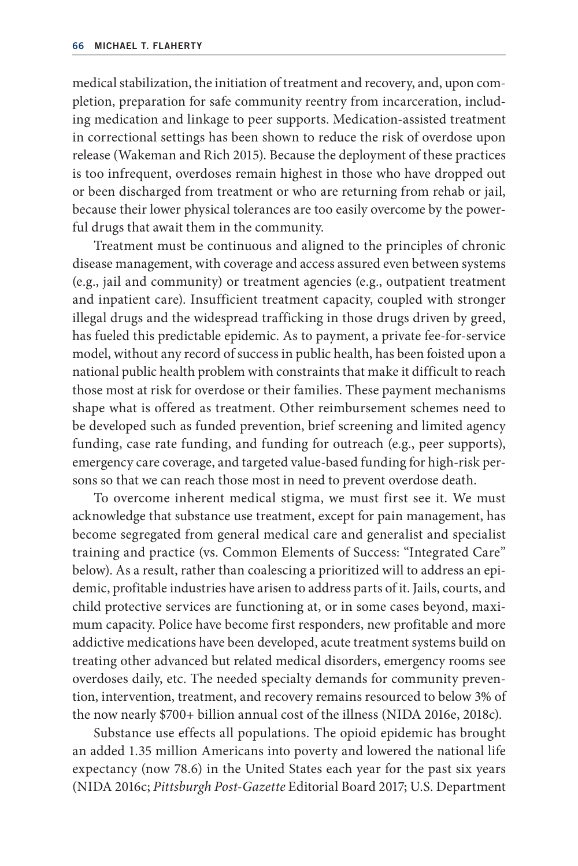medical stabilization, the initiation of treatment and recovery, and, upon completion, preparation for safe community reentry from incarceration, including medication and linkage to peer supports. Medication-assisted treatment in correctional settings has been shown to reduce the risk of overdose upon release (Wakeman and Rich 2015). Because the deployment of these practices is too infrequent, overdoses remain highest in those who have dropped out or been discharged from treatment or who are returning from rehab or jail, because their lower physical tolerances are too easily overcome by the powerful drugs that await them in the community.

Treatment must be continuous and aligned to the principles of chronic disease management, with coverage and access assured even between systems (e.g., jail and community) or treatment agencies (e.g., outpatient treatment and inpatient care). Insufficient treatment capacity, coupled with stronger illegal drugs and the widespread trafficking in those drugs driven by greed, has fueled this predictable epidemic. As to payment, a private fee-for-service model, without any record of success in public health, has been foisted upon a national public health problem with constraints that make it difficult to reach those most at risk for overdose or their families. These payment mechanisms shape what is offered as treatment. Other reimbursement schemes need to be developed such as funded prevention, brief screening and limited agency funding, case rate funding, and funding for outreach (e.g., peer supports), emergency care coverage, and targeted value- based funding for high- risk persons so that we can reach those most in need to prevent overdose death.

To overcome inherent medical stigma, we must first see it. We must acknowledge that substance use treatment, except for pain management, has become segregated from general medical care and generalist and specialist training and practice (vs. Common Elements of Success: "Integrated Care" below). As a result, rather than coalescing a prioritized will to address an epidemic, profitable industries have arisen to address parts of it. Jails, courts, and child protective services are functioning at, or in some cases beyond, maximum capacity. Police have become first responders, new profitable and more addictive medications have been developed, acute treatment systems build on treating other advanced but related medical disorders, emergency rooms see overdoses daily, etc. The needed specialty demands for community prevention, intervention, treatment, and recovery remains resourced to below 3% of the now nearly \$700+ billion annual cost of the illness (NIDA 2016e, 2018c).

Substance use effects all populations. The opioid epidemic has brought an added 1.35 million Americans into poverty and lowered the national life expectancy (now 78.6) in the United States each year for the past six years (NIDA 2016c; *Pittsburgh Post- Gazette* Editorial Board 2017; U.S. Department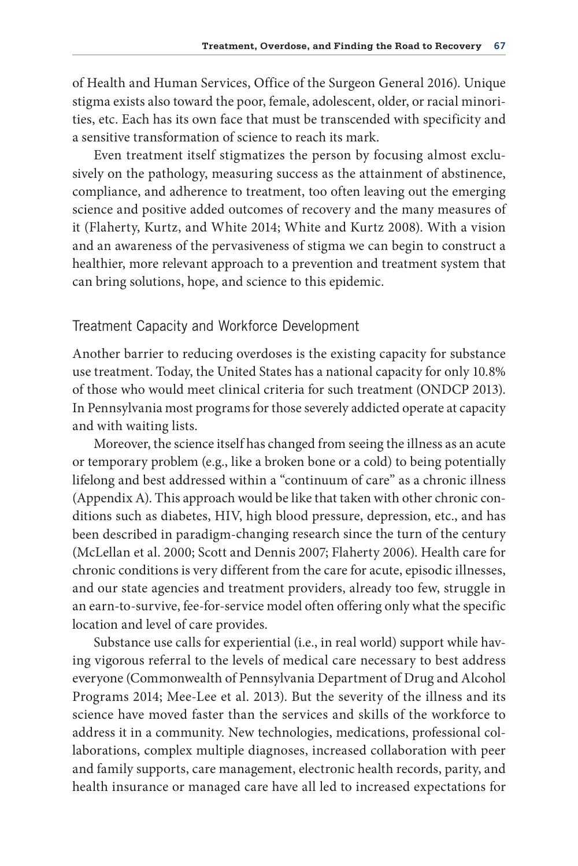of Health and Human Services, Office of the Surgeon General 2016). Unique stigma exists also toward the poor, female, adolescent, older, or racial minorities, etc. Each has its own face that must be transcended with specificity and a sensitive transformation of science to reach its mark.

Even treatment itself stigmatizes the person by focusing almost exclusively on the pathology, measuring success as the attainment of abstinence, compliance, and adherence to treatment, too often leaving out the emerging science and positive added outcomes of recovery and the many measures of it (Flaherty, Kurtz, and White 2014; White and Kurtz 2008). With a vision and an awareness of the pervasiveness of stigma we can begin to construct a healthier, more relevant approach to a prevention and treatment system that can bring solutions, hope, and science to this epidemic.

### Treatment Capacity and Workforce Development

Another barrier to reducing overdoses is the existing capacity for substance use treatment. Today, the United States has a national capacity for only 10.8% of those who would meet clinical criteria for such treatment (ONDCP 2013). In Pennsylvania most programs for those severely addicted operate at capacity and with waiting lists.

Moreover, the science itself has changed from seeing the illness as an acute or temporary problem (e.g., like a broken bone or a cold) to being potentially lifelong and best addressed within a "continuum of care" as a chronic illness (Appendix A). This approach would be like that taken with other chronic conditions such as diabetes, HIV, high blood pressure, depression, etc., and has been described in paradigm- changing research since the turn of the century (McLellan et al. 2000; Scott and Dennis 2007; Flaherty 2006). Health care for chronic conditions is very different from the care for acute, episodic illnesses, and our state agencies and treatment providers, already too few, struggle in an earn-to-survive, fee-for-service model often offering only what the specific location and level of care provides.

Substance use calls for experiential (i.e., in real world) support while having vigorous referral to the levels of medical care necessary to best address everyone (Commonwealth of Pennsylvania Department of Drug and Alcohol Programs 2014; Mee-Lee et al. 2013). But the severity of the illness and its science have moved faster than the services and skills of the workforce to address it in a community. New technologies, medications, professional collaborations, complex multiple diagnoses, increased collaboration with peer and family supports, care management, electronic health records, parity, and health insurance or managed care have all led to increased expectations for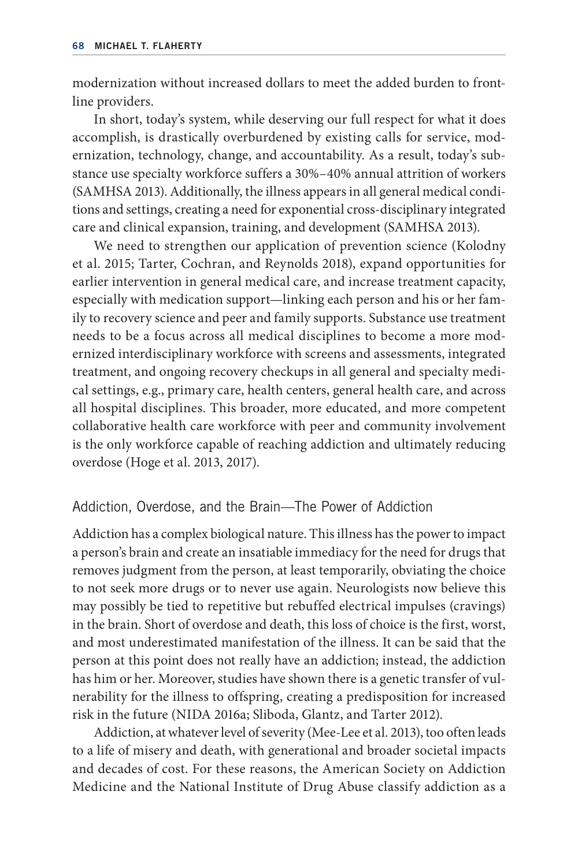modernization without increased dollars to meet the added burden to frontline providers.

In short, today's system, while deserving our full respect for what it does accomplish, is drastically overburdened by existing calls for service, modernization, technology, change, and accountability. As a result, today's substance use specialty workforce suffers a 30%–40% annual attrition of workers (SAMHSA 2013). Additionally, the illness appears in all general medical conditions and settings, creating a need for exponential cross- disciplinary integrated care and clinical expansion, training, and development (SAMHSA 2013).

We need to strengthen our application of prevention science (Kolodny et al. 2015; Tarter, Cochran, and Reynolds 2018), expand opportunities for earlier intervention in general medical care, and increase treatment capacity, especially with medication support—linking each person and his or her family to recovery science and peer and family supports. Substance use treatment needs to be a focus across all medical disciplines to become a more modernized interdisciplinary workforce with screens and assessments, integrated treatment, and ongoing recovery checkups in all general and specialty medical settings, e.g., primary care, health centers, general health care, and across all hospital disciplines. This broader, more educated, and more competent collaborative health care workforce with peer and community involvement is the only workforce capable of reaching addiction and ultimately reducing overdose (Hoge et al. 2013, 2017).

### Addiction, Overdose, and the Brain—The Power of Addiction

Addiction has a complex biological nature. This illness has the power to impact a person's brain and create an insatiable immediacy for the need for drugs that removes judgment from the person, at least temporarily, obviating the choice to not seek more drugs or to never use again. Neurologists now believe this may possibly be tied to repetitive but rebuffed electrical impulses (cravings) in the brain. Short of overdose and death, this loss of choice is the first, worst, and most underestimated manifestation of the illness. It can be said that the person at this point does not really have an addiction; instead, the addiction has him or her. Moreover, studies have shown there is a genetic transfer of vulnerability for the illness to offspring, creating a predisposition for increased risk in the future (NIDA 2016a; Sliboda, Glantz, and Tarter 2012).

Addiction, at whatever level of severity (Mee-Lee et al. 2013), too often leads to a life of misery and death, with generational and broader societal impacts and decades of cost. For these reasons, the American Society on Addiction Medicine and the National Institute of Drug Abuse classify addiction as a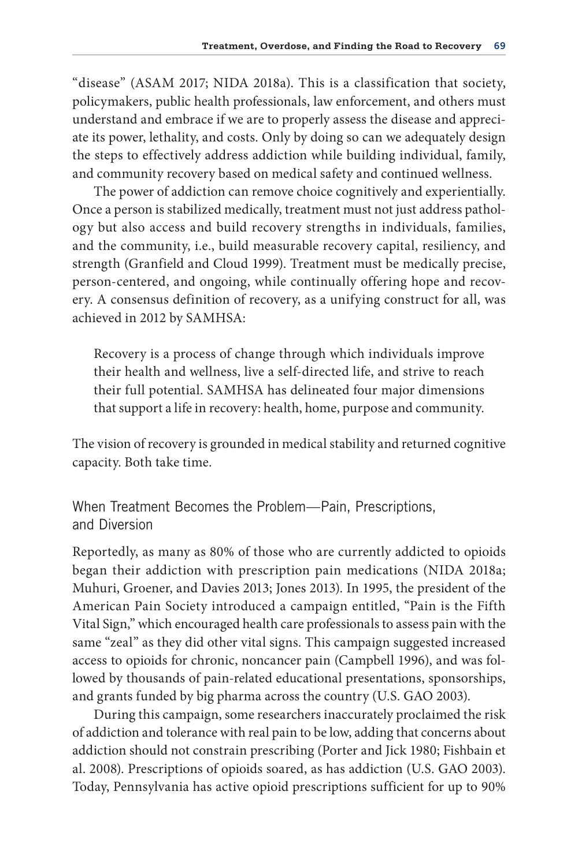"disease" (ASAM 2017; NIDA 2018a). This is a classification that society, policymakers, public health professionals, law enforcement, and others must understand and embrace if we are to properly assess the disease and appreciate its power, lethality, and costs. Only by doing so can we adequately design the steps to effectively address addiction while building individual, family, and community recovery based on medical safety and continued wellness.

The power of addiction can remove choice cognitively and experientially. Once a person is stabilized medically, treatment must not just address pathology but also access and build recovery strengths in individuals, families, and the community, i.e., build measurable recovery capital, resiliency, and strength (Granfield and Cloud 1999). Treatment must be medically precise, person- centered, and ongoing, while continually offering hope and recovery. A consensus definition of recovery, as a unifying construct for all, was achieved in 2012 by SAMHSA:

Recovery is a process of change through which individuals improve their health and wellness, live a self-directed life, and strive to reach their full potential. SAMHSA has delineated four major dimensions that support a life in recovery: health, home, purpose and community.

The vision of recovery is grounded in medical stability and returned cognitive capacity. Both take time.

When Treatment Becomes the Problem—Pain, Prescriptions, and Diversion

Reportedly, as many as 80% of those who are currently addicted to opioids began their addiction with prescription pain medications (NIDA 2018a; Muhuri, Groener, and Davies 2013; Jones 2013). In 1995, the president of the American Pain Society introduced a campaign entitled, "Pain is the Fifth Vital Sign," which encouraged health care professionals to assess pain with the same "zeal" as they did other vital signs. This campaign suggested increased access to opioids for chronic, noncancer pain (Campbell 1996), and was followed by thousands of pain- related educational presentations, sponsorships, and grants funded by big pharma across the country (U.S. GAO 2003).

During this campaign, some researchers inaccurately proclaimed the risk of addiction and tolerance with real pain to be low, adding that concerns about addiction should not constrain prescribing (Porter and Jick 1980; Fishbain et al. 2008). Prescriptions of opioids soared, as has addiction (U.S. GAO 2003). Today, Pennsylvania has active opioid prescriptions sufficient for up to 90%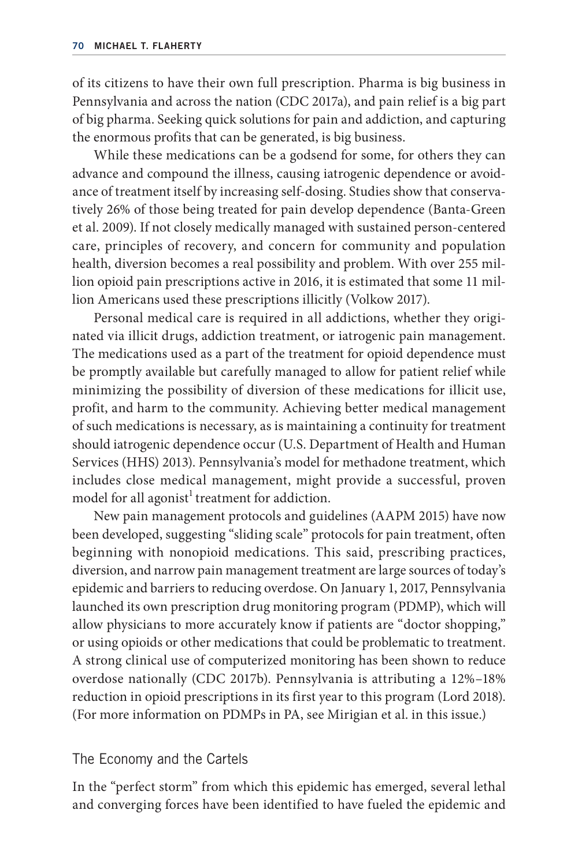of its citizens to have their own full prescription. Pharma is big business in Pennsylvania and across the nation (CDC 2017a), and pain relief is a big part of big pharma. Seeking quick solutions for pain and addiction, and capturing the enormous profits that can be generated, is big business.

While these medications can be a godsend for some, for others they can advance and compound the illness, causing iatrogenic dependence or avoidance of treatment itself by increasing self- dosing. Studies show that conservatively 26% of those being treated for pain develop dependence (Banta- Green et al. 2009). If not closely medically managed with sustained person- centered care, principles of recovery, and concern for community and population health, diversion becomes a real possibility and problem. With over 255 million opioid pain prescriptions active in 2016, it is estimated that some 11 million Americans used these prescriptions illicitly (Volkow 2017).

Personal medical care is required in all addictions, whether they originated via illicit drugs, addiction treatment, or iatrogenic pain management. The medications used as a part of the treatment for opioid dependence must be promptly available but carefully managed to allow for patient relief while minimizing the possibility of diversion of these medications for illicit use, profit, and harm to the community. Achieving better medical management of such medications is necessary, as is maintaining a continuity for treatment should iatrogenic dependence occur (U.S. Department of Health and Human Services (HHS) 2013). Pennsylvania's model for methadone treatment, which includes close medical management, might provide a successful, proven model for all agonist<sup>1</sup> treatment for addiction.

New pain management protocols and guidelines (AAPM 2015) have now been developed, suggesting "sliding scale" protocols for pain treatment, often beginning with nonopioid medications. This said, prescribing practices, diversion, and narrow pain management treatment are large sources of today's epidemic and barriers to reducing overdose. On January 1, 2017, Pennsylvania launched its own prescription drug monitoring program (PDMP), which will allow physicians to more accurately know if patients are "doctor shopping," or using opioids or other medications that could be problematic to treatment. A strong clinical use of computerized monitoring has been shown to reduce overdose nationally (CDC 2017b). Pennsylvania is attributing a 12%–18% reduction in opioid prescriptions in its first year to this program (Lord 2018). (For more information on PDMPs in PA, see Mirigian et al. in this issue.)

### The Economy and the Cartels

In the "perfect storm" from which this epidemic has emerged, several lethal and converging forces have been identified to have fueled the epidemic and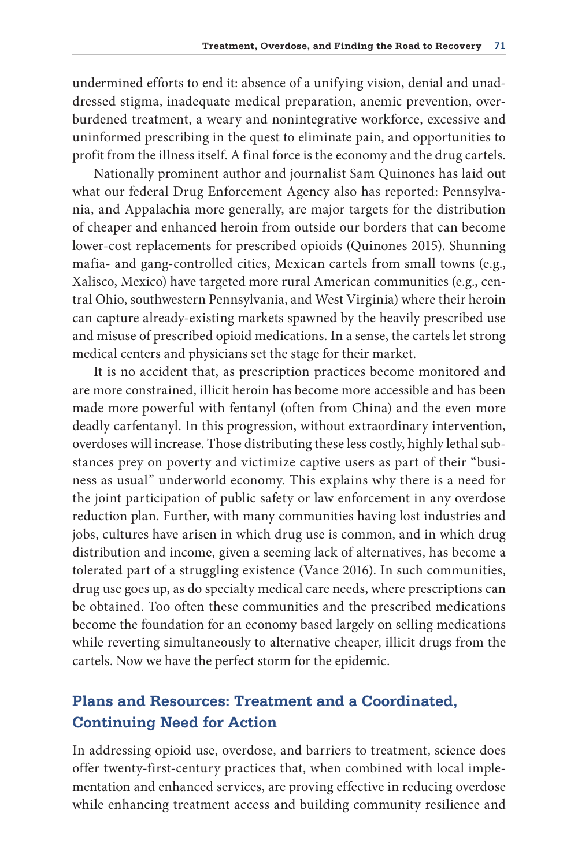undermined efforts to end it: absence of a unifying vision, denial and unaddressed stigma, inadequate medical preparation, anemic prevention, overburdened treatment, a weary and nonintegrative workforce, excessive and uninformed prescribing in the quest to eliminate pain, and opportunities to profit from the illness itself. A final force is the economy and the drug cartels.

Nationally prominent author and journalist Sam Quinones has laid out what our federal Drug Enforcement Agency also has reported: Pennsylvania, and Appalachia more generally, are major targets for the distribution of cheaper and enhanced heroin from outside our borders that can become lower- cost replacements for prescribed opioids (Quinones 2015). Shunning mafia- and gang-controlled cities, Mexican cartels from small towns (e.g., Xalisco, Mexico) have targeted more rural American communities (e.g., central Ohio, southwestern Pennsylvania, and West Virginia) where their heroin can capture already-existing markets spawned by the heavily prescribed use and misuse of prescribed opioid medications. In a sense, the cartels let strong medical centers and physicians set the stage for their market.

It is no accident that, as prescription practices become monitored and are more constrained, illicit heroin has become more accessible and has been made more powerful with fentanyl (often from China) and the even more deadly carfentanyl. In this progression, without extraordinary intervention, overdoses will increase. Those distributing these less costly, highly lethal substances prey on poverty and victimize captive users as part of their "business as usual" underworld economy. This explains why there is a need for the joint participation of public safety or law enforcement in any overdose reduction plan. Further, with many communities having lost industries and jobs, cultures have arisen in which drug use is common, and in which drug distribution and income, given a seeming lack of alternatives, has become a tolerated part of a struggling existence (Vance 2016). In such communities, drug use goes up, as do specialty medical care needs, where prescriptions can be obtained. Too often these communities and the prescribed medications become the foundation for an economy based largely on selling medications while reverting simultaneously to alternative cheaper, illicit drugs from the cartels. Now we have the perfect storm for the epidemic.

# **Plans and Resources: Treatment and a Coordinated, Continuing Need for Action**

In addressing opioid use, overdose, and barriers to treatment, science does offer twenty-first-century practices that, when combined with local implementation and enhanced services, are proving effective in reducing overdose while enhancing treatment access and building community resilience and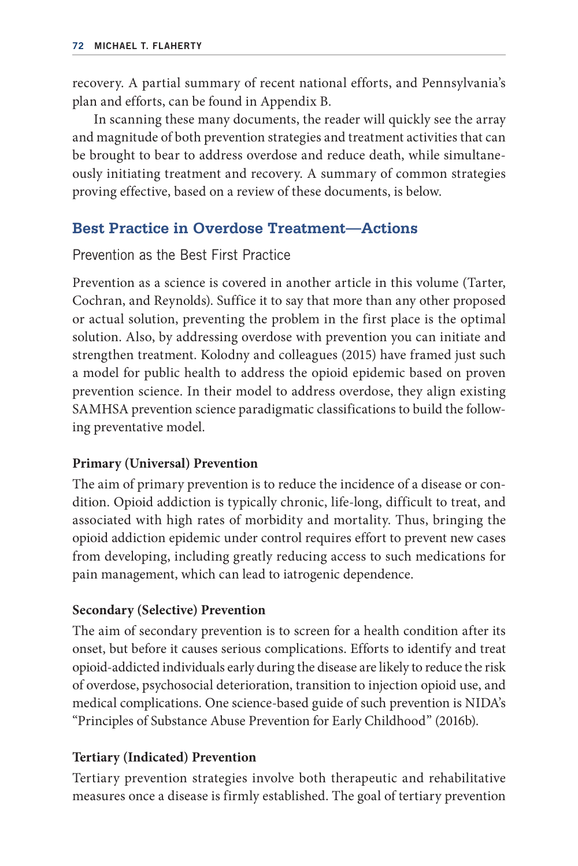recovery. A partial summary of recent national efforts, and Pennsylvania's plan and efforts, can be found in Appendix B.

In scanning these many documents, the reader will quickly see the array and magnitude of both prevention strategies and treatment activities that can be brought to bear to address overdose and reduce death, while simultaneously initiating treatment and recovery. A summary of common strategies proving effective, based on a review of these documents, is below.

# **Best Practice in Overdose Treatment—Actions**

Prevention as the Best First Practice

Prevention as a science is covered in another article in this volume (Tarter, Cochran, and Reynolds). Suffice it to say that more than any other proposed or actual solution, preventing the problem in the first place is the optimal solution. Also, by addressing overdose with prevention you can initiate and strengthen treatment. Kolodny and colleagues (2015) have framed just such a model for public health to address the opioid epidemic based on proven prevention science. In their model to address overdose, they align existing SAMHSA prevention science paradigmatic classifications to build the following preventative model.

# **Primary (Universal) Prevention**

The aim of primary prevention is to reduce the incidence of a disease or condition. Opioid addiction is typically chronic, life-long, difficult to treat, and associated with high rates of morbidity and mortality. Thus, bringing the opioid addiction epidemic under control requires effort to prevent new cases from developing, including greatly reducing access to such medications for pain management, which can lead to iatrogenic dependence.

# **Secondary (Selective) Prevention**

The aim of secondary prevention is to screen for a health condition after its onset, but before it causes serious complications. Efforts to identify and treat opioid-addicted individuals early during the disease are likely to reduce the risk of overdose, psychosocial deterioration, transition to injection opioid use, and medical complications. One science- based guide of such prevention is NIDA's "Principles of Substance Abuse Prevention for Early Childhood" (2016b).

# **Tertiary (Indicated) Prevention**

Tertiary prevention strategies involve both therapeutic and rehabilitative measures once a disease is firmly established. The goal of tertiary prevention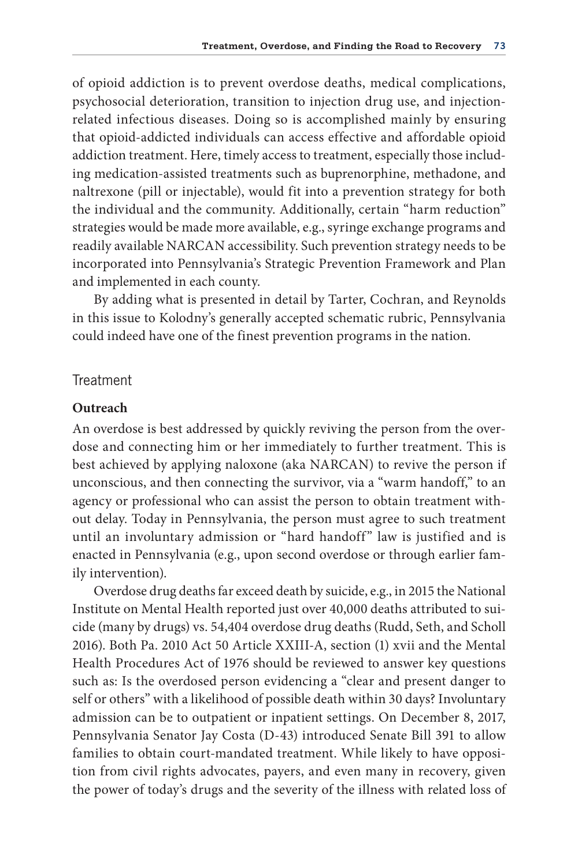of opioid addiction is to prevent overdose deaths, medical complications, psychosocial deterioration, transition to injection drug use, and injectionrelated infectious diseases. Doing so is accomplished mainly by ensuring that opioid-addicted individuals can access effective and affordable opioid addiction treatment. Here, timely access to treatment, especially those including medication- assisted treatments such as buprenorphine, methadone, and naltrexone (pill or injectable), would fit into a prevention strategy for both the individual and the community. Additionally, certain "harm reduction" strategies would be made more available, e.g., syringe exchange programs and readily available NARCAN accessibility. Such prevention strategy needs to be incorporated into Pennsylvania's Strategic Prevention Framework and Plan and implemented in each county.

By adding what is presented in detail by Tarter, Cochran, and Reynolds in this issue to Kolodny's generally accepted schematic rubric, Pennsylvania could indeed have one of the finest prevention programs in the nation.

#### Treatment

#### **Outreach**

An overdose is best addressed by quickly reviving the person from the overdose and connecting him or her immediately to further treatment. This is best achieved by applying naloxone (aka NARCAN) to revive the person if unconscious, and then connecting the survivor, via a "warm handoff," to an agency or professional who can assist the person to obtain treatment without delay. Today in Pennsylvania, the person must agree to such treatment until an involuntary admission or "hard handoff" law is justified and is enacted in Pennsylvania (e.g., upon second overdose or through earlier family intervention).

Overdose drug deaths far exceed death by suicide, e.g., in 2015 the National Institute on Mental Health reported just over 40,000 deaths attributed to suicide (many by drugs) vs. 54,404 overdose drug deaths (Rudd, Seth, and Scholl 2016). Both Pa. 2010 Act 50 Article XXIII-A, section (1) xvii and the Mental Health Procedures Act of 1976 should be reviewed to answer key questions such as: Is the overdosed person evidencing a "clear and present danger to self or others" with a likelihood of possible death within 30 days? Involuntary admission can be to outpatient or inpatient settings. On December 8, 2017, Pennsylvania Senator Jay Costa (D-43) introduced Senate Bill 391 to allow families to obtain court-mandated treatment. While likely to have opposition from civil rights advocates, payers, and even many in recovery, given the power of today's drugs and the severity of the illness with related loss of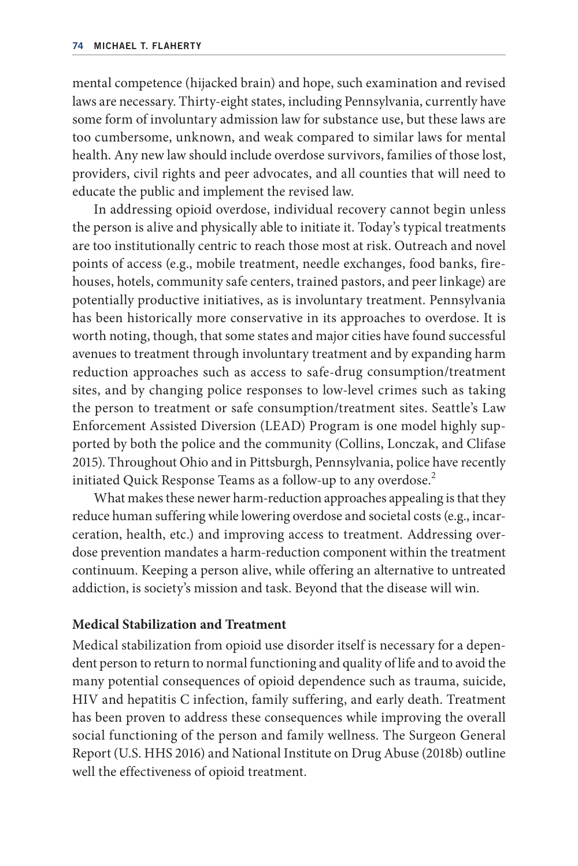mental competence (hijacked brain) and hope, such examination and revised laws are necessary. Thirty-eight states, including Pennsylvania, currently have some form of involuntary admission law for substance use, but these laws are too cumbersome, unknown, and weak compared to similar laws for mental health. Any new law should include overdose survivors, families of those lost, providers, civil rights and peer advocates, and all counties that will need to educate the public and implement the revised law.

In addressing opioid overdose, individual recovery cannot begin unless the person is alive and physically able to initiate it. Today's typical treatments are too institutionally centric to reach those most at risk. Outreach and novel points of access (e.g., mobile treatment, needle exchanges, food banks, firehouses, hotels, community safe centers, trained pastors, and peer linkage) are potentially productive initiatives, as is involuntary treatment. Pennsylvania has been historically more conservative in its approaches to overdose. It is worth noting, though, that some states and major cities have found successful avenues to treatment through involuntary treatment and by expanding harm reduction approaches such as access to safe-drug consumption/treatment sites, and by changing police responses to low-level crimes such as taking the person to treatment or safe consumption/treatment sites. Seattle's Law Enforcement Assisted Diversion (LEAD) Program is one model highly supported by both the police and the community (Collins, Lonczak, and Clifase 2015). Throughout Ohio and in Pittsburgh, Pennsylvania, police have recently initiated Quick Response Teams as a follow-up to any overdose.<sup>2</sup>

What makes these newer harm- reduction approaches appealing is that they reduce human suffering while lowering overdose and societal costs (e.g., incarceration, health, etc.) and improving access to treatment. Addressing overdose prevention mandates a harm-reduction component within the treatment continuum. Keeping a person alive, while offering an alternative to untreated addiction, is society's mission and task. Beyond that the disease will win.

#### **Medical Stabilization and Treatment**

Medical stabilization from opioid use disorder itself is necessary for a dependent person to return to normal functioning and quality of life and to avoid the many potential consequences of opioid dependence such as trauma, suicide, HIV and hepatitis C infection, family suffering, and early death. Treatment has been proven to address these consequences while improving the overall social functioning of the person and family wellness. The Surgeon General Report (U.S. HHS 2016) and National Institute on Drug Abuse (2018b) outline well the effectiveness of opioid treatment.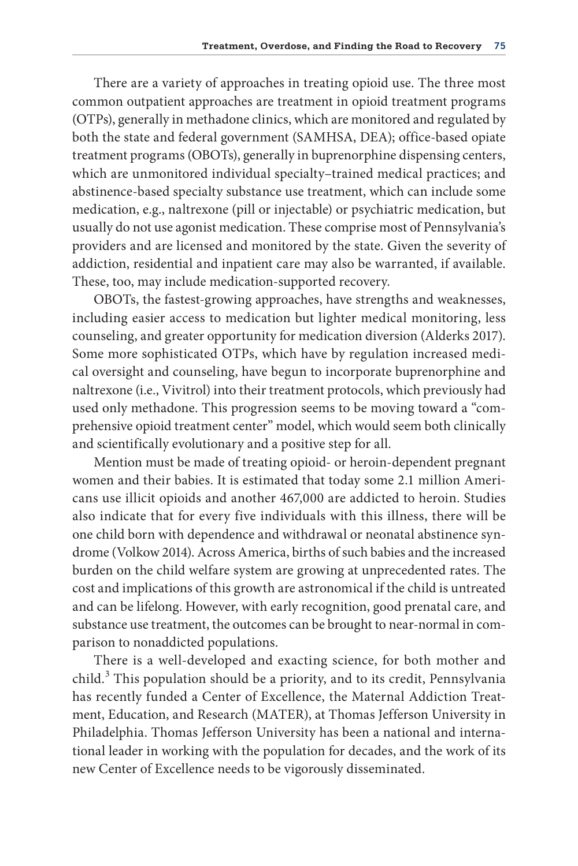There are a variety of approaches in treating opioid use. The three most common outpatient approaches are treatment in opioid treatment programs (OTPs), generally in methadone clinics, which are monitored and regulated by both the state and federal government (SAMHSA, DEA); office-based opiate treatment programs (OBOTs), generally in buprenorphine dispensing centers, which are unmonitored individual specialty–trained medical practices; and abstinence- based specialty substance use treatment, which can include some medication, e.g., naltrexone (pill or injectable) or psychiatric medication, but usually do not use agonist medication. These comprise most of Pennsylvania's providers and are licensed and monitored by the state. Given the severity of addiction, residential and inpatient care may also be warranted, if available. These, too, may include medication- supported recovery.

OBOTs, the fastest-growing approaches, have strengths and weaknesses, including easier access to medication but lighter medical monitoring, less counseling, and greater opportunity for medication diversion (Alderks 2017). Some more sophisticated OTPs, which have by regulation increased medical oversight and counseling, have begun to incorporate buprenorphine and naltrexone (i.e., Vivitrol) into their treatment protocols, which previously had used only methadone. This progression seems to be moving toward a "comprehensive opioid treatment center" model, which would seem both clinically and scientifically evolutionary and a positive step for all.

Mention must be made of treating opioid- or heroin-dependent pregnant women and their babies. It is estimated that today some 2.1 million Americans use illicit opioids and another 467,000 are addicted to heroin. Studies also indicate that for every five individuals with this illness, there will be one child born with dependence and withdrawal or neonatal abstinence syndrome (Volkow 2014). Across America, births of such babies and the increased burden on the child welfare system are growing at unprecedented rates. The cost and implications of this growth are astronomical if the child is untreated and can be lifelong. However, with early recognition, good prenatal care, and substance use treatment, the outcomes can be brought to near- normal in comparison to nonaddicted populations.

There is a well- developed and exacting science, for both mother and child.<sup>3</sup> This population should be a priority, and to its credit, Pennsylvania has recently funded a Center of Excellence, the Maternal Addiction Treatment, Education, and Research (MATER), at Thomas Jefferson University in Philadelphia. Thomas Jefferson University has been a national and international leader in working with the population for decades, and the work of its new Center of Excellence needs to be vigorously disseminated.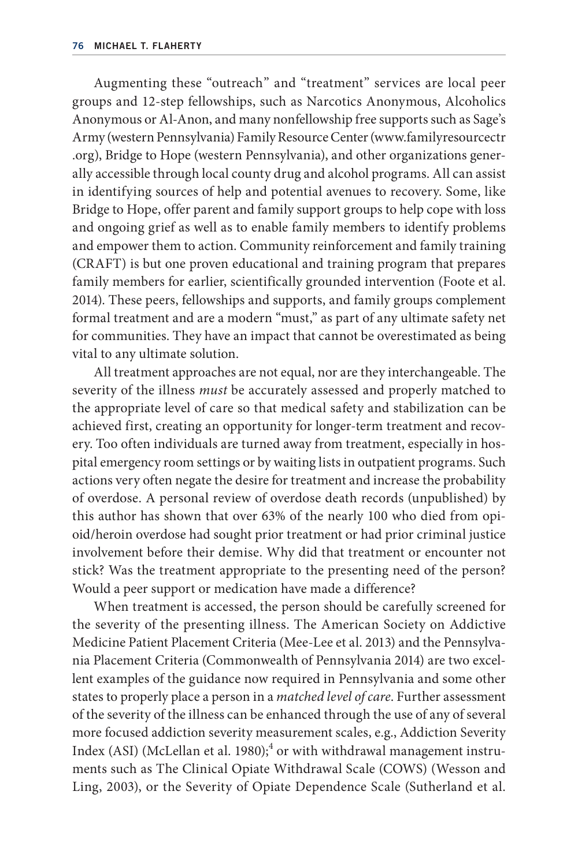Augmenting these "outreach" and "treatment" services are local peer groups and 12- step fellowships, such as Narcotics Anonymous, Alcoholics Anonymous or Al-Anon, and many nonfellowship free supports such as Sage's Army (western Pennsylvania) Family Resource Center (www.familyresourcectr .org), Bridge to Hope (western Pennsylvania), and other organizations generally accessible through local county drug and alcohol programs. All can assist in identifying sources of help and potential avenues to recovery. Some, like Bridge to Hope, offer parent and family support groups to help cope with loss and ongoing grief as well as to enable family members to identify problems and empower them to action. Community reinforcement and family training (CRAFT) is but one proven educational and training program that prepares family members for earlier, scientifically grounded intervention (Foote et al. 2014). These peers, fellowships and supports, and family groups complement formal treatment and are a modern "must," as part of any ultimate safety net for communities. They have an impact that cannot be overestimated as being vital to any ultimate solution.

All treatment approaches are not equal, nor are they interchangeable. The severity of the illness *must* be accurately assessed and properly matched to the appropriate level of care so that medical safety and stabilization can be achieved first, creating an opportunity for longer-term treatment and recovery. Too often individuals are turned away from treatment, especially in hospital emergency room settings or by waiting lists in outpatient programs. Such actions very often negate the desire for treatment and increase the probability of overdose. A personal review of overdose death records (unpublished) by this author has shown that over 63% of the nearly 100 who died from opioid/heroin overdose had sought prior treatment or had prior criminal justice involvement before their demise. Why did that treatment or encounter not stick? Was the treatment appropriate to the presenting need of the person? Would a peer support or medication have made a difference?

When treatment is accessed, the person should be carefully screened for the severity of the presenting illness. The American Society on Addictive Medicine Patient Placement Criteria (Mee- Lee et al. 2013) and the Pennsylvania Placement Criteria (Commonwealth of Pennsylvania 2014) are two excellent examples of the guidance now required in Pennsylvania and some other states to properly place a person in a *matched level of care*. Further assessment of the severity of the illness can be enhanced through the use of any of several more focused addiction severity measurement scales, e.g., Addiction Severity Index (ASI) (McLellan et al. 1980); $^4$  or with withdrawal management instruments such as The Clinical Opiate Withdrawal Scale (COWS) (Wesson and Ling, 2003), or the Severity of Opiate Dependence Scale (Sutherland et al.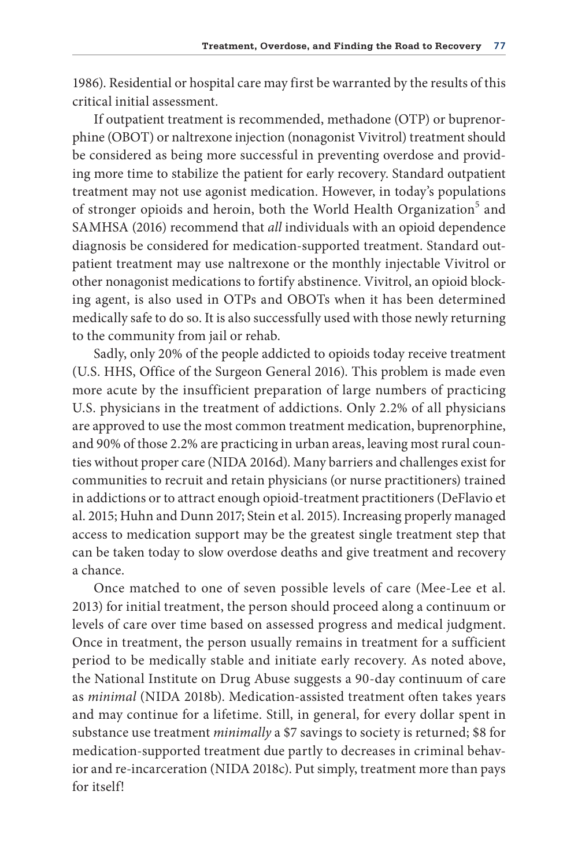1986). Residential or hospital care may first be warranted by the results of this critical initial assessment.

If outpatient treatment is recommended, methadone (OTP) or buprenorphine (OBOT) or naltrexone injection (nonagonist Vivitrol) treatment should be considered as being more successful in preventing overdose and providing more time to stabilize the patient for early recovery. Standard outpatient treatment may not use agonist medication. However, in today's populations of stronger opioids and heroin, both the World Health Organization<sup>5</sup> and SAMHSA (2016) recommend that *all* individuals with an opioid dependence diagnosis be considered for medication- supported treatment. Standard outpatient treatment may use naltrexone or the monthly injectable Vivitrol or other nonagonist medications to fortify abstinence. Vivitrol, an opioid blocking agent, is also used in OTPs and OBOTs when it has been determined medically safe to do so. It is also successfully used with those newly returning to the community from jail or rehab.

Sadly, only 20% of the people addicted to opioids today receive treatment (U.S. HHS, Office of the Surgeon General 2016). This problem is made even more acute by the insufficient preparation of large numbers of practicing U.S. physicians in the treatment of addictions. Only 2.2% of all physicians are approved to use the most common treatment medication, buprenorphine, and 90% of those 2.2% are practicing in urban areas, leaving most rural counties without proper care (NIDA 2016d). Many barriers and challenges exist for communities to recruit and retain physicians (or nurse practitioners) trained in addictions or to attract enough opioid- treatment practitioners (DeFlavio et al. 2015; Huhn and Dunn 2017; Stein et al. 2015). Increasing properly managed access to medication support may be the greatest single treatment step that can be taken today to slow overdose deaths and give treatment and recovery a chance.

Once matched to one of seven possible levels of care (Mee-Lee et al. 2013) for initial treatment, the person should proceed along a continuum or levels of care over time based on assessed progress and medical judgment. Once in treatment, the person usually remains in treatment for a sufficient period to be medically stable and initiate early recovery. As noted above, the National Institute on Drug Abuse suggests a 90- day continuum of care as *minimal* (NIDA 2018b). Medication-assisted treatment often takes years and may continue for a lifetime. Still, in general, for every dollar spent in substance use treatment *minimally* a \$7 savings to society is returned; \$8 for medication- supported treatment due partly to decreases in criminal behavior and re- incarceration (NIDA 2018c). Put simply, treatment more than pays for itself!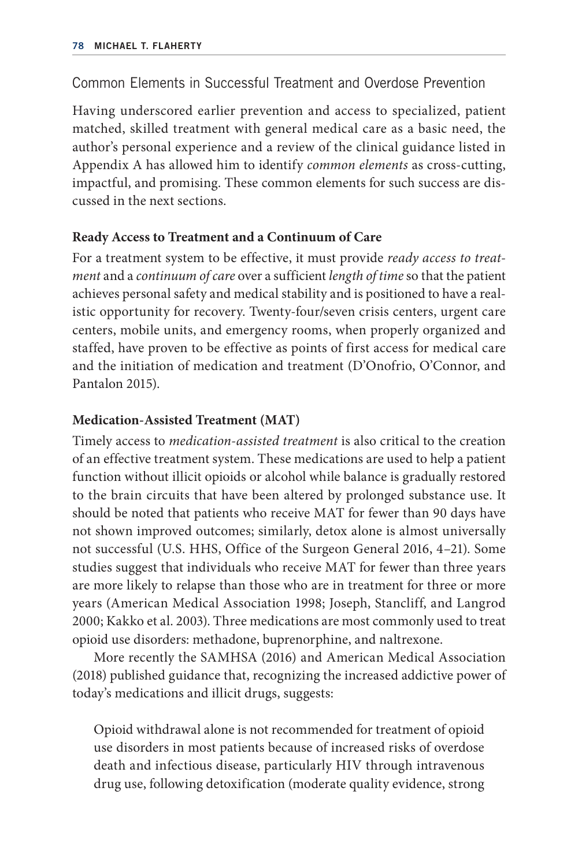# Common Elements in Successful Treatment and Overdose Prevention

Having underscored earlier prevention and access to specialized, patient matched, skilled treatment with general medical care as a basic need, the author's personal experience and a review of the clinical guidance listed in Appendix A has allowed him to identify *common elements* as cross-cutting, impactful, and promising. These common elements for such success are discussed in the next sections.

# **Ready Access to Treatment and a Continuum of Care**

For a treatment system to be effective, it must provide *ready access to treatment* and a *continuum of care* over a sufficient *length of time* so that the patient achieves personal safety and medical stability and is positioned to have a realistic opportunity for recovery. Twenty-four/seven crisis centers, urgent care centers, mobile units, and emergency rooms, when properly organized and staffed, have proven to be effective as points of first access for medical care and the initiation of medication and treatment (D'Onofrio, O'Connor, and Pantalon 2015).

# **Medication- Assisted Treatment (MAT)**

Timely access to *medication-assisted treatment* is also critical to the creation of an effective treatment system. These medications are used to help a patient function without illicit opioids or alcohol while balance is gradually restored to the brain circuits that have been altered by prolonged substance use. It should be noted that patients who receive MAT for fewer than 90 days have not shown improved outcomes; similarly, detox alone is almost universally not successful (U.S. HHS, Office of the Surgeon General 2016, 4–21). Some studies suggest that individuals who receive MAT for fewer than three years are more likely to relapse than those who are in treatment for three or more years (American Medical Association 1998; Joseph, Stancliff, and Langrod 2000; Kakko et al. 2003). Three medications are most commonly used to treat opioid use disorders: methadone, buprenorphine, and naltrexone.

More recently the SAMHSA (2016) and American Medical Association (2018) published guidance that, recognizing the increased addictive power of today's medications and illicit drugs, suggests:

Opioid withdrawal alone is not recommended for treatment of opioid use disorders in most patients because of increased risks of overdose death and infectious disease, particularly HIV through intravenous drug use, following detoxification (moderate quality evidence, strong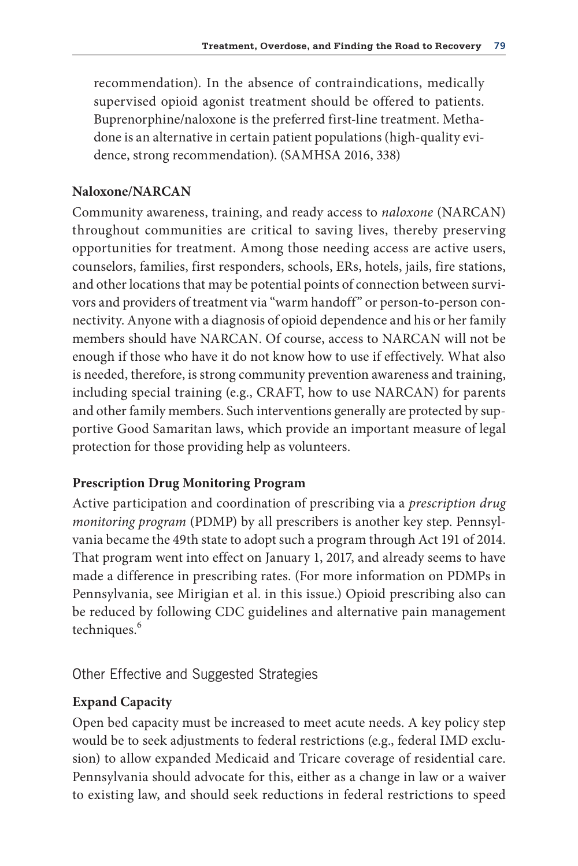recommendation). In the absence of contraindications, medically supervised opioid agonist treatment should be offered to patients. Buprenorphine/naloxone is the preferred first-line treatment. Methadone is an alternative in certain patient populations (high- quality evidence, strong recommendation). (SAMHSA 2016, 338)

### **Naloxone/NARCAN**

Community awareness, training, and ready access to *naloxone* (NARCAN) throughout communities are critical to saving lives, thereby preserving opportunities for treatment. Among those needing access are active users, counselors, families, first responders, schools, ERs, hotels, jails, fire stations, and other locations that may be potential points of connection between survivors and providers of treatment via "warm handoff" or person-to-person connectivity. Anyone with a diagnosis of opioid dependence and his or her family members should have NARCAN. Of course, access to NARCAN will not be enough if those who have it do not know how to use if effectively. What also is needed, therefore, is strong community prevention awareness and training, including special training (e.g., CRAFT, how to use NARCAN) for parents and other family members. Such interventions generally are protected by supportive Good Samaritan laws, which provide an important measure of legal protection for those providing help as volunteers.

### **Prescription Drug Monitoring Program**

Active participation and coordination of prescribing via a *prescription drug monitoring program* (PDMP) by all prescribers is another key step. Pennsylvania became the 49th state to adopt such a program through Act 191 of 2014. That program went into effect on January 1, 2017, and already seems to have made a difference in prescribing rates. (For more information on PDMPs in Pennsylvania, see Mirigian et al. in this issue.) Opioid prescribing also can be reduced by following CDC guidelines and alternative pain management techniques.<sup>6</sup>

### Other Effective and Suggested Strategies

### **Expand Capacity**

Open bed capacity must be increased to meet acute needs. A key policy step would be to seek adjustments to federal restrictions (e.g., federal IMD exclusion) to allow expanded Medicaid and Tricare coverage of residential care. Pennsylvania should advocate for this, either as a change in law or a waiver to existing law, and should seek reductions in federal restrictions to speed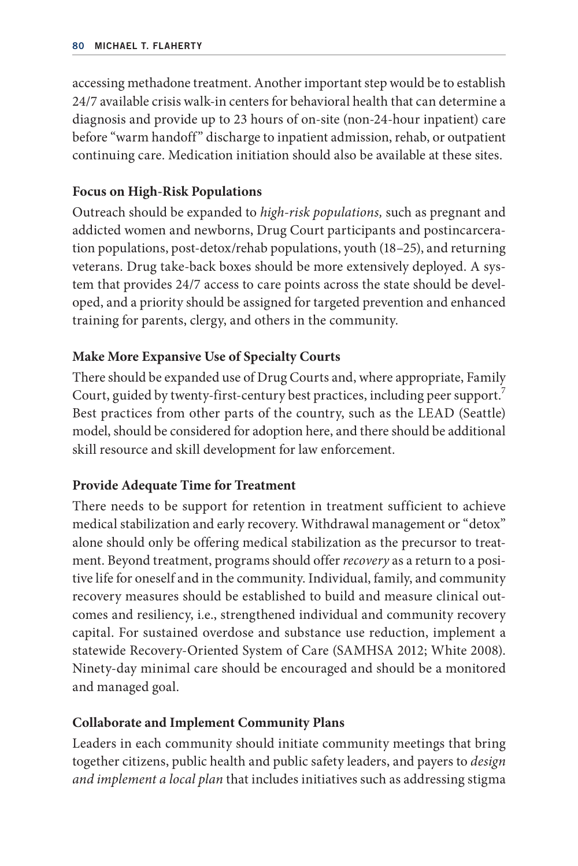accessing methadone treatment. Another important step would be to establish 24/7 available crisis walk-in centers for behavioral health that can determine a diagnosis and provide up to 23 hours of on-site (non-24-hour inpatient) care before "warm handoff" discharge to inpatient admission, rehab, or outpatient continuing care. Medication initiation should also be available at these sites.

# **Focus on High- Risk Populations**

Outreach should be expanded to *high-risk populations,* such as pregnant and addicted women and newborns, Drug Court participants and postincarceration populations, post-detox/rehab populations, youth (18–25), and returning veterans. Drug take-back boxes should be more extensively deployed. A system that provides 24/7 access to care points across the state should be developed, and a priority should be assigned for targeted prevention and enhanced training for parents, clergy, and others in the community.

# **Make More Expansive Use of Specialty Courts**

There should be expanded use of Drug Courts and, where appropriate, Family Court, guided by twenty-first-century best practices, including peer support. Best practices from other parts of the country, such as the LEAD (Seattle) model, should be considered for adoption here, and there should be additional skill resource and skill development for law enforcement.

### **Provide Adequate Time for Treatment**

There needs to be support for retention in treatment sufficient to achieve medical stabilization and early recovery. Withdrawal management or "detox" alone should only be offering medical stabilization as the precursor to treatment. Beyond treatment, programs should offer *recovery* as a return to a positive life for oneself and in the community. Individual, family, and community recovery measures should be established to build and measure clinical outcomes and resiliency, i.e., strengthened individual and community recovery capital. For sustained overdose and substance use reduction, implement a statewide Recovery-Oriented System of Care (SAMHSA 2012; White 2008). Ninety- day minimal care should be encouraged and should be a monitored and managed goal.

### **Collaborate and Implement Community Plans**

Leaders in each community should initiate community meetings that bring together citizens, public health and public safety leaders, and payers to *design and implement a local plan* that includes initiatives such as addressing stigma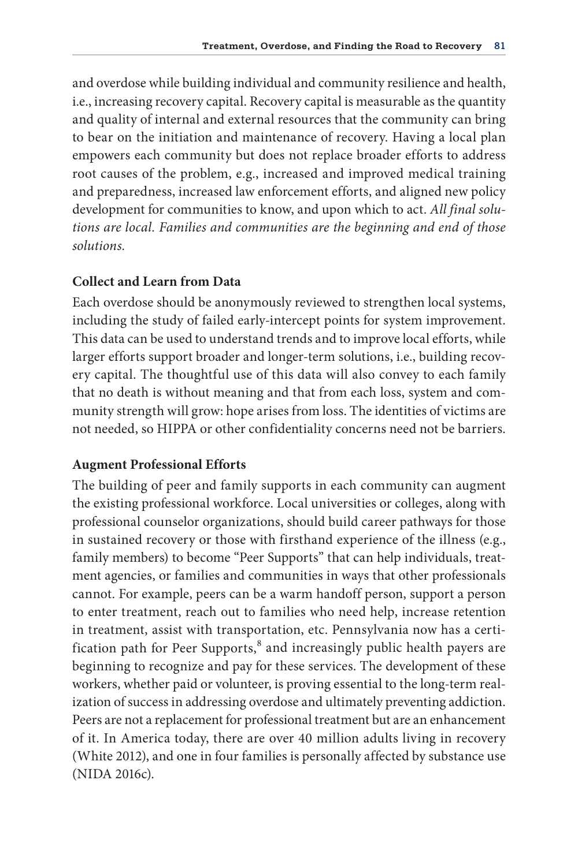and overdose while building individual and community resilience and health, i.e., increasing recovery capital. Recovery capital is measurable as the quantity and quality of internal and external resources that the community can bring to bear on the initiation and maintenance of recovery. Having a local plan empowers each community but does not replace broader efforts to address root causes of the problem, e.g., increased and improved medical training and preparedness, increased law enforcement efforts, and aligned new policy development for communities to know, and upon which to act. *All final solutions are local. Families and communities are the beginning and end of those solutions.*

# **Collect and Learn from Data**

Each overdose should be anonymously reviewed to strengthen local systems, including the study of failed early-intercept points for system improvement. This data can be used to understand trends and to improve local efforts, while larger efforts support broader and longer- term solutions, i.e., building recovery capital. The thoughtful use of this data will also convey to each family that no death is without meaning and that from each loss, system and community strength will grow: hope arises from loss. The identities of victims are not needed, so HIPPA or other confidentiality concerns need not be barriers.

### **Augment Professional Efforts**

The building of peer and family supports in each community can augment the existing professional workforce. Local universities or colleges, along with professional counselor organizations, should build career pathways for those in sustained recovery or those with firsthand experience of the illness (e.g., family members) to become "Peer Supports" that can help individuals, treatment agencies, or families and communities in ways that other professionals cannot. For example, peers can be a warm handoff person, support a person to enter treatment, reach out to families who need help, increase retention in treatment, assist with transportation, etc. Pennsylvania now has a certification path for Peer Supports, $^8$  and increasingly public health payers are beginning to recognize and pay for these services. The development of these workers, whether paid or volunteer, is proving essential to the long- term realization of success in addressing overdose and ultimately preventing addiction. Peers are not a replacement for professional treatment but are an enhancement of it. In America today, there are over 40 million adults living in recovery (White 2012), and one in four families is personally affected by substance use (NIDA 2016c).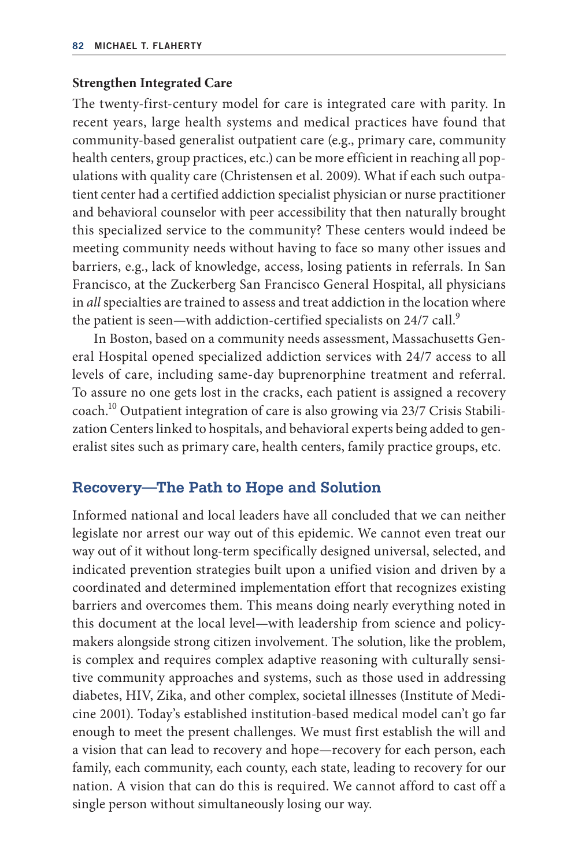### **Strengthen Integrated Care**

The twenty-first-century model for care is integrated care with parity. In recent years, large health systems and medical practices have found that community- based generalist outpatient care (e.g., primary care, community health centers, group practices, etc.) can be more efficient in reaching all populations with quality care (Christensen et al. 2009). What if each such outpatient center had a certified addiction specialist physician or nurse practitioner and behavioral counselor with peer accessibility that then naturally brought this specialized service to the community? These centers would indeed be meeting community needs without having to face so many other issues and barriers, e.g., lack of knowledge, access, losing patients in referrals. In San Francisco, at the Zuckerberg San Francisco General Hospital, all physicians in *all* specialties are trained to assess and treat addiction in the location where the patient is seen—with addiction-certified specialists on 24/7 call.<sup>9</sup>

In Boston, based on a community needs assessment, Massachusetts General Hospital opened specialized addiction services with 24/7 access to all levels of care, including same- day buprenorphine treatment and referral. To assure no one gets lost in the cracks, each patient is assigned a recovery coach.10 Outpatient integration of care is also growing via 23/7 Crisis Stabilization Centers linked to hospitals, and behavioral experts being added to generalist sites such as primary care, health centers, family practice groups, etc.

# **Recovery—The Path to Hope and Solution**

Informed national and local leaders have all concluded that we can neither legislate nor arrest our way out of this epidemic. We cannot even treat our way out of it without long-term specifically designed universal, selected, and indicated prevention strategies built upon a unified vision and driven by a coordinated and determined implementation effort that recognizes existing barriers and overcomes them. This means doing nearly everything noted in this document at the local level—with leadership from science and policymakers alongside strong citizen involvement. The solution, like the problem, is complex and requires complex adaptive reasoning with culturally sensitive community approaches and systems, such as those used in addressing diabetes, HIV, Zika, and other complex, societal illnesses (Institute of Medicine 2001). Today's established institution- based medical model can't go far enough to meet the present challenges. We must first establish the will and a vision that can lead to recovery and hope—recovery for each person, each family, each community, each county, each state, leading to recovery for our nation. A vision that can do this is required. We cannot afford to cast off a single person without simultaneously losing our way.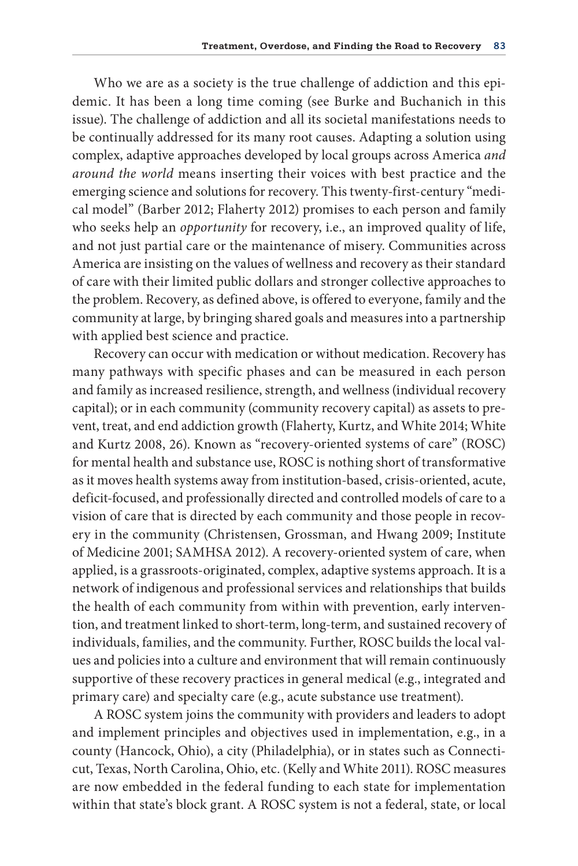Who we are as a society is the true challenge of addiction and this epidemic. It has been a long time coming (see Burke and Buchanich in this issue). The challenge of addiction and all its societal manifestations needs to be continually addressed for its many root causes. Adapting a solution using complex, adaptive approaches developed by local groups across America *and around the world* means inserting their voices with best practice and the emerging science and solutions for recovery. This twenty-first-century "medical model" (Barber 2012; Flaherty 2012) promises to each person and family who seeks help an *opportunity* for recovery, i.e., an improved quality of life, and not just partial care or the maintenance of misery. Communities across America are insisting on the values of wellness and recovery as their standard of care with their limited public dollars and stronger collective approaches to the problem. Recovery, as defined above, is offered to everyone, family and the community at large, by bringing shared goals and measures into a partnership with applied best science and practice.

Recovery can occur with medication or without medication. Recovery has many pathways with specific phases and can be measured in each person and family as increased resilience, strength, and wellness (individual recovery capital); or in each community (community recovery capital) as assets to prevent, treat, and end addiction growth (Flaherty, Kurtz, and White 2014; White and Kurtz 2008, 26). Known as "recovery-oriented systems of care" (ROSC) for mental health and substance use, ROSC is nothing short of transformative as it moves health systems away from institution-ba sed, crisis- oriented, acute, deficit-focused, and professionally directed and controlled models of care to a vision of care that is directed by each community and those people in recovery in the community (Christensen, Grossman, and Hwang 2009; Institute of Medicine 2001; SAMHSA 2012). A recovery- oriented system of care, when applied, is a grassroots- originated, complex, adaptive systems approach. It is a network of indigenous and professional services and relationships that builds the health of each community from within with prevention, early intervention, and treatment linked to short-term, long-term, and sustained recovery of individuals, families, and the community. Further, ROSC builds the local values and policies into a culture and environment that will remain continuously supportive of these recovery practices in general medical (e.g., integrated and primary care) and specialty care (e.g., acute substance use treatment).

A ROSC system joins the community with providers and leaders to adopt and implement principles and objectives used in implementation, e.g., in a county (Hancock, Ohio), a city (Philadelphia), or in states such as Connecticut, Texas, North Carolina, Ohio, etc. (Kelly and White 2011). ROSC measures are now embedded in the federal funding to each state for implementation within that state's block grant. A ROSC system is not a federal, state, or local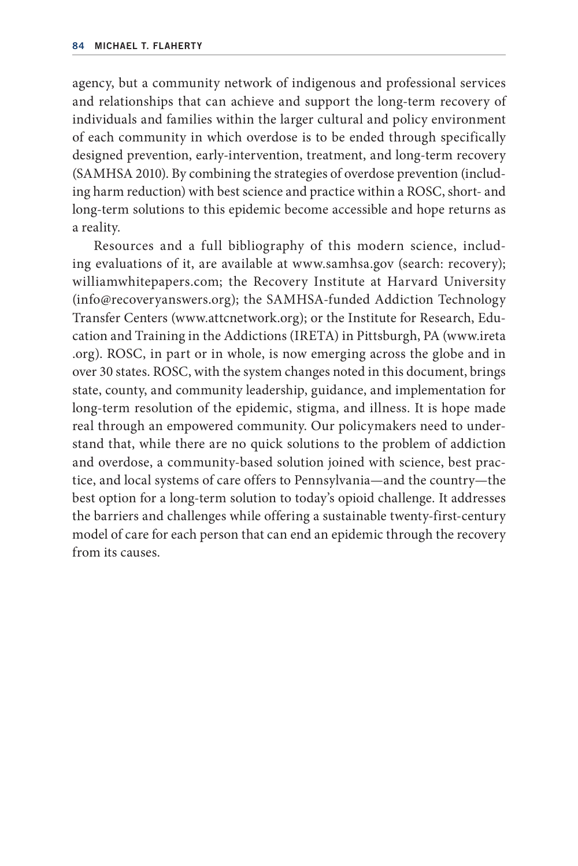agency, but a community network of indigenous and professional services and relationships that can achieve and support the long-term recovery of individuals and families within the larger cultural and policy environment of each community in which overdose is to be ended through specifically designed prevention, early-intervention, treatment, and long-term recovery (SAMHSA 2010). By combining the strategies of overdose prevention (including harm reduction) with best science and practice within a ROSC, short- a nd long-term solutions to this epidemic become accessible and hope returns as a reality.

Resources and a full bibliography of this modern science, including evaluations of it, are available at www.samhsa.gov (search: recovery); williamwhitepapers.com; the Recovery Institute at Harvard University (info@recoveryanswers.org); the SAMHSA- funded Addiction Technology Transfer Centers (www.attcnetwork.org); or the Institute for Research, Education and Training in the Addictions (IRETA) in Pittsburgh, PA (www.ireta .org). ROSC, in part or in whole, is now emerging across the globe and in over 30 states. ROSC, with the system changes noted in this document, brings state, county, and community leadership, guidance, and implementation for long- term resolution of the epidemic, stigma, and illness. It is hope made real through an empowered community. Our policymakers need to understand that, while there are no quick solutions to the problem of addiction and overdose, a community- based solution joined with science, best practice, and local systems of care offers to Pennsylvania—and the country—the best option for a long- term solution to today's opioid challenge. It addresses the barriers and challenges while offering a sustainable twenty-first-century model of care for each person that can end an epidemic through the recovery from its causes.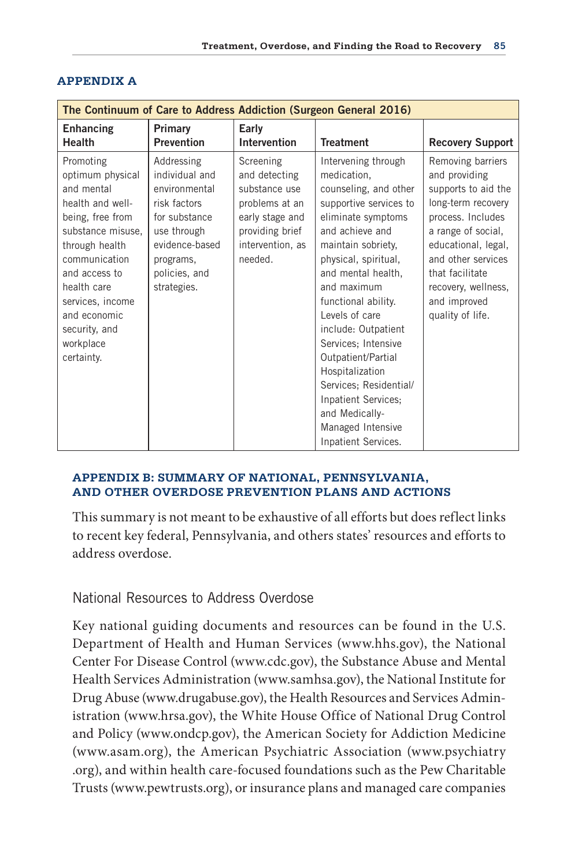| The Continuum of Care to Address Addiction (Surgeon General 2016)                                                                                                                                                                                           |                                                                                                                                                              |                                                                                                                                    |                                                                                                                                                                                                                                                                                                                                                                                                                                                                  |                                                                                                                                                                                                                                                       |
|-------------------------------------------------------------------------------------------------------------------------------------------------------------------------------------------------------------------------------------------------------------|--------------------------------------------------------------------------------------------------------------------------------------------------------------|------------------------------------------------------------------------------------------------------------------------------------|------------------------------------------------------------------------------------------------------------------------------------------------------------------------------------------------------------------------------------------------------------------------------------------------------------------------------------------------------------------------------------------------------------------------------------------------------------------|-------------------------------------------------------------------------------------------------------------------------------------------------------------------------------------------------------------------------------------------------------|
| <b>Enhancing</b><br>Health                                                                                                                                                                                                                                  | Primary<br><b>Prevention</b>                                                                                                                                 | Early<br><b>Intervention</b>                                                                                                       | <b>Treatment</b>                                                                                                                                                                                                                                                                                                                                                                                                                                                 | <b>Recovery Support</b>                                                                                                                                                                                                                               |
| Promoting<br>optimum physical<br>and mental<br>health and well-<br>being, free from<br>substance misuse,<br>through health<br>communication<br>and access to<br>health care<br>services, income<br>and economic<br>security, and<br>workplace<br>certainty. | Addressing<br>individual and<br>environmental<br>risk factors<br>for substance<br>use through<br>evidence-based<br>programs,<br>policies, and<br>strategies. | Screening<br>and detecting<br>substance use<br>problems at an<br>early stage and<br>providing brief<br>intervention, as<br>needed. | Intervening through<br>medication.<br>counseling, and other<br>supportive services to<br>eliminate symptoms<br>and achieve and<br>maintain sobriety,<br>physical, spiritual,<br>and mental health,<br>and maximum<br>functional ability.<br>Levels of care<br>include: Outpatient<br>Services; Intensive<br>Outpatient/Partial<br>Hospitalization<br>Services; Residential/<br>Inpatient Services;<br>and Medically-<br>Managed Intensive<br>Inpatient Services. | Removing barriers<br>and providing<br>supports to aid the<br>long-term recovery<br>process. Includes<br>a range of social,<br>educational, legal,<br>and other services<br>that facilitate<br>recovery, wellness,<br>and improved<br>quality of life. |

#### **APPENDIX A**

#### **APPENDIX B: SUMMARY OF NATIONAL, PENNSYLVANIA, AND OTHER OVERDOSE PREVENTION PLANS AND ACTIONS**

This summary is not meant to be exhaustive of all efforts but does reflect links to recent key federal, Pennsylvania, and others states' resources and efforts to address overdose.

# National Resources to Address Overdose

Key national guiding documents and resources can be found in the U.S. Department of Health and Human Services (www.hhs.gov), the National Center For Disease Control (www.cdc.gov), the Substance Abuse and Mental Health Services Administration (www.samhsa.gov), the National Institute for Drug Abuse (www.drugabuse.gov), the Health Resources and Services Administration (www.hrsa.gov), the White House Office of National Drug Control and Policy (www.ondcp.gov), the American Society for Addiction Medicine (www.asam.org), the American Psychiatric Association (www.psychiatry .org), and within health care-focused foundations such as the Pew Charitable Trusts (www.pewtrusts.org), or insurance plans and managed care companies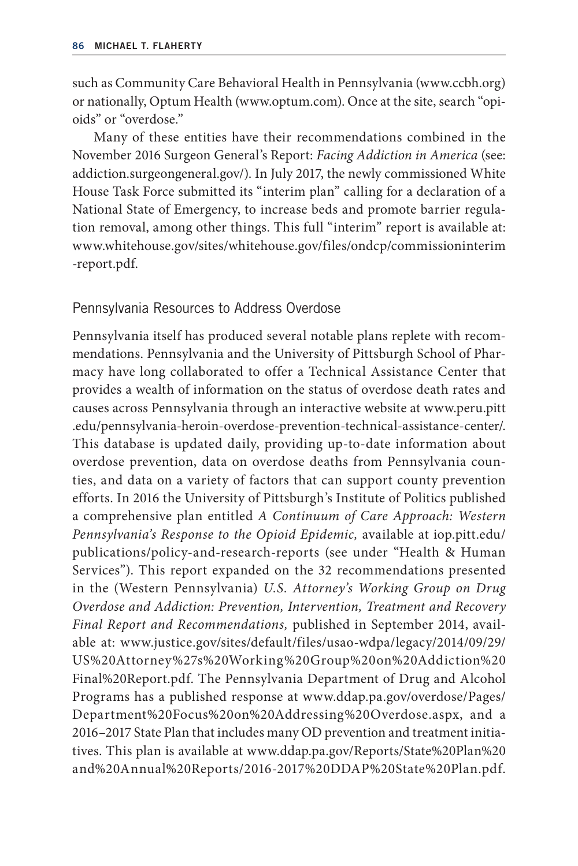such as Community Care Behavioral Health in Pennsylvania (www.ccbh.org) or nationally, Optum Health (www.optum.com). Once at the site, search "opioids" or "overdose."

Many of these entities have their recommendations combined in the November 2016 Surgeon General's Report: *Facing Addiction in America* (see: addiction.surgeongeneral.gov/). In July 2017, the newly commissioned White House Task Force submitted its "interim plan" calling for a declaration of a National State of Emergency, to increase beds and promote barrier regulation removal, among other things. This full "interim" report is available at: www.whitehouse.gov/sites/whitehouse.gov/files/ondcp/commissioninterim -report.pdf.

Pennsylvania Resources to Address Overdose

Pennsylvania itself has produced several notable plans replete with recommendations. Pennsylvania and the University of Pittsburgh School of Pharmacy have long collaborated to offer a Technical Assistance Center that provides a wealth of information on the status of overdose death rates and causes across Pennsylvania through an interactive website at www.peru.pitt .edu/pennsylvania-heroin-overdose-prevention-technical-assistance-center/. This database is updated daily, providing up-to-date information about overdose prevention, data on overdose deaths from Pennsylvania counties, and data on a variety of factors that can support county prevention efforts. In 2016 the University of Pittsburgh's Institute of Politics published a comprehensive plan entitled *A Continuum of Care Approach: Western Pennsylvania's Response to the Opioid Epidemic,* available at iop.pitt.edu/ publications/policy-and-research-reports (see under "Health & Human Services"). This report expanded on the 32 recommendations presented in the (Western Pennsylvania) *U.S. Attorney's Working Group on Drug Overdose and Addiction: Prevention, Intervention, Treatment and Recovery Final Report and Recommendations,* published in September 2014, available at: www.justice.gov/sites/default/files/usao-wdpa/legacy/2014/09/29/ US%20Attorney%27s%20Working%20Group%20on%20Addiction%20 Final%20Report.pdf. The Pennsylvania Department of Drug and Alcohol Programs has a published response at www.ddap.pa.gov/overdose/Pages/ Department%20Focus%20on%20Addressing%20Overdose.aspx, and a 2016–2017 State Plan that includes many OD prevention and treatment initiatives. This plan is available at www.ddap.pa.gov/Reports/State%20Plan%20 and%20Annual%20Reports/2016-2017%20DDAP%20State%20Plan.pdf.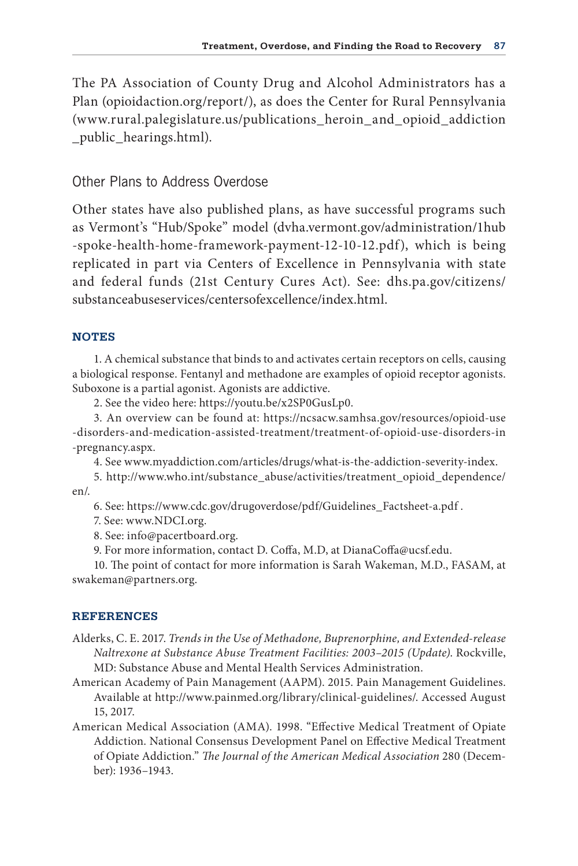The PA Association of County Drug and Alcohol Administrators has a Plan (opioidaction.org/report/), as does the Center for Rural Pennsylvania (www.rural.palegislature.us/publications\_heroin\_and\_opioid\_addiction \_public\_hearings.html).

# Other Plans to Address Overdose

Other states have also published plans, as have successful programs such as Vermont's "Hub/Spoke" model (dvha.vermont.gov/administration/1hub -spoke-health-home-framework-payment-12-10-12.pdf), which is being replicated in part via Centers of Excellence in Pennsylvania with state and federal funds (21st Century Cures Act). See: dhs.pa.gov/citizens/ substanceabuseservices/centersofexcellence/index.html.

#### **NOTES**

1. A chemical substance that binds to and activates certain receptors on cells, causing a biological response. Fentanyl and methadone are examples of opioid receptor agonists. Suboxone is a partial agonist. Agonists are addictive.

2. See the video here: https://youtu.be/x2SP0GusLp0.

3. An overview can be found at: https://ncsacw.samhsa.gov/resources/opioid- use -disorders-and-medication-assisted-treatment/treatment-of-opioid-use-disorders-in -pregnancy.aspx.

4. See www.myaddiction.com/articles/drugs/what-is-the-addiction-severity-index.

5. http://www.who.int/substance\_abuse/activities/treatment\_opioid\_dependence/ en/.

6. See: https://www.cdc.gov/drugoverdose/pdf/Guidelines\_Factsheet- a.pdf .

7. See: www.NDCI.org.

8. See: info@pacertboard.org.

9. For more information, contact D. Coffa, M.D, at DianaCoffa@ucsf.edu.

10. The point of contact for more information is Sarah Wakeman, M.D., FASAM, at swakeman@partners.org.

#### **REFERENCES**

- Alderks, C. E. 2017. *Trends in the Use of Methadone*, Buprenorphine, and Extended-release *Naltrexone at Substance Abuse Treatment Facilities: 2003–2015 (Update)*. Rockville, MD: Substance Abuse and Mental Health Services Administration.
- American Academy of Pain Management (AAPM). 2015. Pain Management Guidelines. Available at http://www.painmed.org/library/clinical- guidelines/. Accessed August 15, 2017.
- American Medical Association (AMA). 1998. "Effective Medical Treatment of Opiate Addiction. National Consensus Development Panel on Effective Medical Treatment of Opiate Addiction." *The Journal of the American Medical Association* 280 (December): 1936–1943.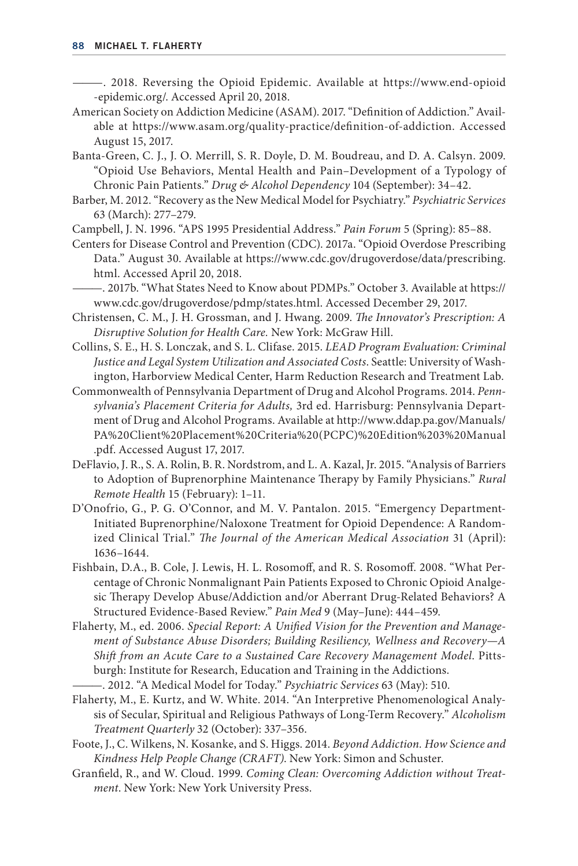- ———. 2018. Reversing the Opioid Epidemic. Available at https://www.end- opioid - epidemic.org/. Accessed April 20, 2018.
- American Society on Addiction Medicine (ASAM). 2017. "Definition of Addiction." Available at https://www.asam.org/quality-practice/definition-of-addiction. Accessed August 15, 2017.
- Banta- Green, C. J., J. O. Merrill, S. R. Doyle, D. M. Boudreau, and D. A. Calsyn. 2009. "Opioid Use Behaviors, Mental Health and Pain–Development of a Typology of Chronic Pain Patients." *Drug & Alcohol Dependency* 104 (September): 34–42.
- Barber, M. 2012. "Recovery as the New Medical Model for Psychiatry." *Psychiatric Services* 63 (March): 277–279.
- Campbell, J. N. 1996. "APS 1995 Presidential Address." *Pain Forum* 5 (Spring): 85–88.
- Centers for Disease Control and Prevention (CDC). 2017a. "Opioid Overdose Prescribing Data." August 30. Available at https://www.cdc.gov/drugoverdose/data/prescribing. html. Accessed April 20, 2018.
- ———. 2017b. "What States Need to Know about PDMPs." October 3. Available at https:// www.cdc.gov/drugoverdose/pdmp/states.html. Accessed December 29, 2017.
- Christensen, C. M., J. H. Grossman, and J. Hwang. 2009. *The Innovator's Prescription: A Disruptive Solution for Health Care.* New York: McGraw Hill.
- Collins, S. E., H. S. Lonczak, and S. L. Clifase. 2015. *LEAD Program Evaluation: Criminal Justice and Legal System Utilization and Associated Costs*. Seattle: University of Washington, Harborview Medical Center, Harm Reduction Research and Treatment Lab.
- Commonwealth of Pennsylvania Department of Drug and Alcohol Programs. 2014. *Pennsylvania's Placement Criteria for Adults,* 3rd ed. Harrisburg: Pennsylvania Department of Drug and Alcohol Programs. Available at http://www.ddap.pa.gov/Manuals/ PA%20Client%20Placement%20Criteria%20(PCPC)%20Edition%203%20Manual .pdf. Accessed August 17, 2017.
- DeFlavio, J. R., S. A. Rolin, B. R. Nordstrom, and L. A. Kazal, Jr. 2015. "Analysis of Barriers to Adoption of Buprenorphine Maintenance Therapy by Family Physicians." *Rural Remote Health* 15 (February): 1–11.
- D'Onofrio, G., P. G. O'Connor, and M. V. Pantalon. 2015. "Emergency Department-Initiated Buprenorphine/Naloxone Treatment for Opioid Dependence: A Randomized Clinical Trial." *The Journal of the American Medical Association* 31 (April): 1636–1644.
- Fishbain, D.A., B. Cole, J. Lewis, H. L. Rosomoff, and R. S. Rosomoff. 2008. "What Percentage of Chronic Nonmalignant Pain Patients Exposed to Chronic Opioid Analgesic Therapy Develop Abuse/Addiction and/or Aberrant Drug-Related Behaviors? A Structured Evidence- Based Review." *Pain Med* 9 (May–June): 444–459.
- Flaherty, M., ed. 2006. *Special Report: A Unified Vision for the Prevention and Management of Substance Abuse Disorders; Building Resiliency, Wellness and Recovery—A Shift from an Acute Care to a Sustained Care Recovery Management Model*. Pittsburgh: Institute for Research, Education and Training in the Addictions.
- ———. 2012. "A Medical Model for Today." *Psychiatric Services* 63 (May): 510.
- Flaherty, M., E. Kurtz, and W. White. 2014. "An Interpretive Phenomenological Analysis of Secular, Spiritual and Religious Pathways of Long- Term Recovery." *Alcoholism Treatment Quarterly* 32 (October): 337–356.
- Foote, J., C. Wilkens, N. Kosanke, and S. Higgs. 2014. *Beyond Addiction. How Science and Kindness Help People Change (CRAFT)*. New York: Simon and Schuster.
- Granfield, R., and W. Cloud. 1999. *Coming Clean: Overcoming Addiction without Treatment*. New York: New York University Press.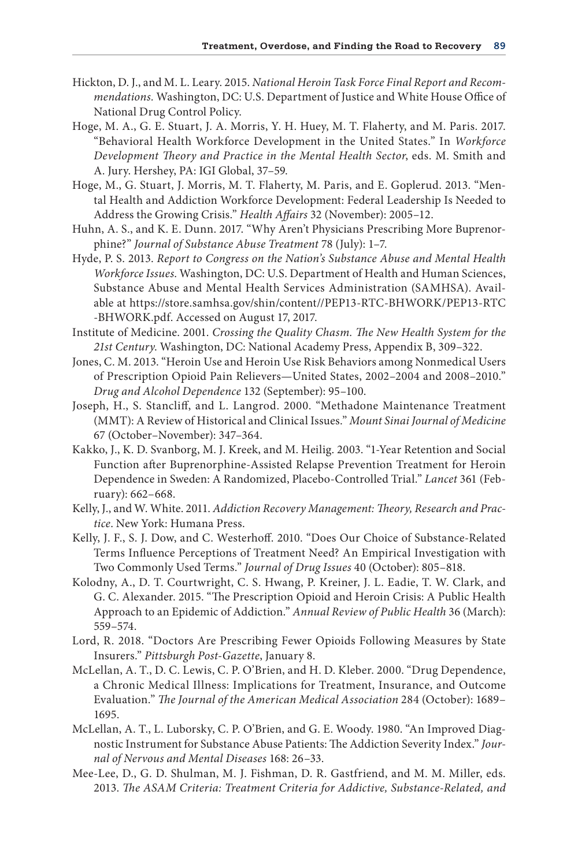- Hickton, D. J., and M. L. Leary. 2015. *National Heroin Task Force Final Report and Recommendations.* Washington, DC: U.S. Department of Justice and White House Office of National Drug Control Policy.
- Hoge, M. A., G. E. Stuart, J. A. Morris, Y. H. Huey, M. T. Flaherty, and M. Paris. 2017. "Behavioral Health Workforce Development in the United States." In *Workforce Development Theory and Practice in the Mental Health Sector*, eds. M. Smith and A. Jury. Hershey, PA: IGI Global, 37–59.
- Hoge, M., G. Stuart, J. Morris, M. T. Flaherty, M. Paris, and E. Goplerud. 2013. "Mental Health and Addiction Workforce Development: Federal Leadership Is Needed to Address the Growing Crisis." *Health Affairs* 32 (November): 2005–12.
- Huhn, A. S., and K. E. Dunn. 2017. "Why Aren't Physicians Prescribing More Buprenorphine?" *Journal of Substance Abuse Treatment* 78 (July): 1–7.
- Hyde, P. S. 2013. *Report to Congress on the Nation's Substance Abuse and Mental Health Workforce Issues*. Washington, DC: U.S. Department of Health and Human Sciences, Substance Abuse and Mental Health Services Administration (SAMHSA). Available at https://store.samhsa.gov/shin/content//PEP13-RTC-BHWORK/PEP13-RTC - BHWORK.pdf. Accessed on August 17, 2017.
- Institute of Medicine. 2001. *Crossing the Quality Chasm. The New Health System for the 21st Century*. Washington, DC: National Academy Press, Appendix B, 309–322.
- Jones, C. M. 2013. "Heroin Use and Heroin Use Risk Behaviors among Nonmedical Users of Prescription Opioid Pain Relievers—United States, 2002–2004 and 2008–2010." *Drug and Alcohol Dependence* 132 (September): 95–100.
- Joseph, H., S. Stancliff, and L. Langrod. 2000. "Methadone Maintenance Treatment (MMT): A Review of Historical and Clinical Issues." *Mount Sinai Journal of Medicine*  67 (October–November): 347–364.
- Kakko, J., K. D. Svanborg, M. J. Kreek, and M. Heilig. 2003. "1- Year Retention and Social Function after Buprenorphine- Assisted Relapse Prevention Treatment for Heroin Dependence in Sweden: A Randomized, Placebo- Controlled Trial." *Lancet* 361 (February): 662–668.
- Kelly, J., and W. White. 2011. *Addiction Recovery Management: Theory, Research and Practice*. New York: Humana Press.
- Kelly, J. F., S. J. Dow, and C. Westerhoff. 2010. "Does Our Choice of Substance- Related Terms Influence Perceptions of Treatment Need? An Empirical Investigation with Two Commonly Used Terms." *Journal of Drug Issues* 40 (October): 805–818.
- Kolodny, A., D. T. Courtwright, C. S. Hwang, P. Kreiner, J. L. Eadie, T. W. Clark, and G. C. Alexander. 2015. "The Prescription Opioid and Heroin Crisis: A Public Health Approach to an Epidemic of Addiction." *Annual Review of Public Health* 36 (March): 559–574.
- Lord, R. 2018. "Doctors Are Prescribing Fewer Opioids Following Measures by State Insurers." *Pittsburgh Post-Gazette*, January 8.
- McLellan, A. T., D. C. Lewis, C. P. O'Brien, and H. D. Kleber. 2000. "Drug Dependence, a Chronic Medical Illness: Implications for Treatment, Insurance, and Outcome Evaluation." *The Journal of the American Medical Association* 284 (October): 1689– 1695.
- McLellan, A. T., L. Luborsky, C. P. O'Brien, and G. E. Woody. 1980. "An Improved Diagnostic Instrument for Substance Abuse Patients: The Addiction Severity Index." *Journal of Nervous and Mental Diseases* 168: 26–33.
- Mee- Lee, D., G. D. Shulman, M. J. Fishman, D. R. Gastfriend, and M. M. Miller, eds. 2013. *The ASAM Criteria: Treatment Criteria for Addictive, Substance- Related, and*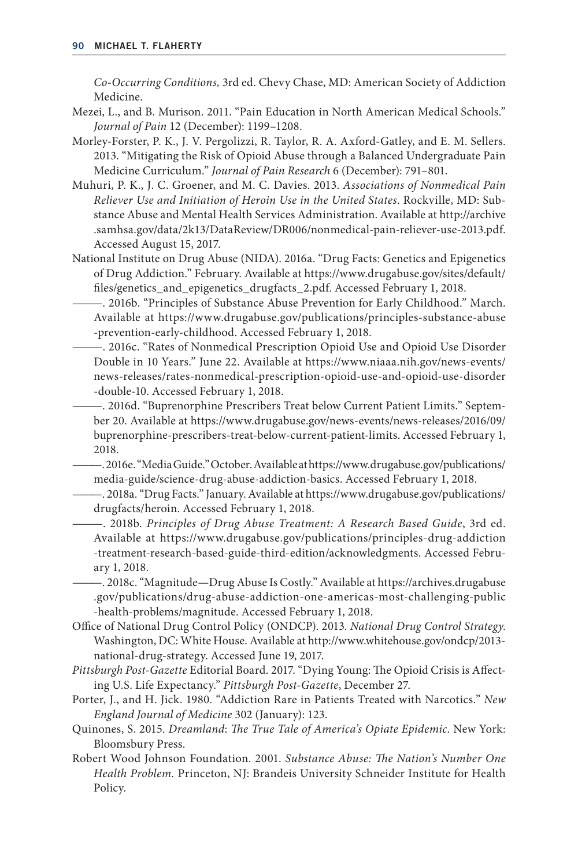*Co-Occurring Conditions,* 3rd ed. Chevy Chase, MD: American Society of Addiction Medicine.

- Mezei, L., and B. Murison. 2011. "Pain Education in North American Medical Schools." *Journal of Pain* 12 (December): 1199–1208.
- Morley- Forster, P. K., J. V. Pergolizzi, R. Taylor, R. A. Axford- Gatley, and E. M. Sellers. 2013. "Mitigating the Risk of Opioid Abuse through a Balanced Undergraduate Pain Medicine Curriculum." *Journal of Pain Research* 6 (December): 791–801.
- Muhuri, P. K., J. C. Groener, and M. C. Davies. 2013. *Associations of Nonmedical Pain Reliever Use and Initiation of Heroin Use in the United States*. Rockville, MD: Substance Abuse and Mental Health Services Administration. Available at http://archive .samhsa.gov/data/2k13/DataReview/DR006/nonmedical-pain-reliever-use-2013.pdf. Accessed August 15, 2017.
- National Institute on Drug Abuse (NIDA). 2016a. "Drug Facts: Genetics and Epigenetics of Drug Addiction." February. Available at https://www.drugabuse.gov/sites/default/ files/genetics\_and\_epigenetics\_drugfacts\_2.pdf. Accessed February 1, 2018.
- ———. 2016b. "Principles of Substance Abuse Prevention for Early Childhood." March. Available at https://www.drugabuse.gov/publications/principles-substance-abuse -prevention-early-childhood. Accessed February 1, 2018.
- ———. 2016c. "Rates of Nonmedical Prescription Opioid Use and Opioid Use Disorder Double in 10 Years." June 22. Available at https://www.niaaa.nih.gov/news-events/ news- releases/rates- nonmedical- prescription-op ioid- use-a nd- opioid-u se- disorder - double- 10. Accessed February 1, 2018.
- ———. 2016d. "Buprenorphine Prescribers Treat below Current Patient Limits." September 20. Available at https://www.drugabuse.gov/news-e vents/news- releases/2016/09/ buprenorphine-prescribers-treat-below-current-patient-limits. Accessed February 1, 2018.

———. 2016e. "Media Guide." October. Available at https://www.drugabuse.gov/publications/ media-guide/science-drug-abuse-addiction-basics. Accessed February 1, 2018.

———. 2018a. "Drug Facts." January. Available at https://www.drugabuse.gov/publications/ drugfacts/heroin. Accessed February 1, 2018.

———. 2018b. *Principles of Drug Abuse Treatment: A Research Based Guide*, 3rd ed. Available at https://www.drugabuse.gov/publications/principles-drug-addiction -treatment-research-based-guide-third-edition/acknowledgments. Accessed February 1, 2018.

———. 2018c. "Magnitude—Drug Abuse Is Costly." Available at https://archives.drugabuse .gov/publications/drug- abuse-a ddiction- one- americas- most- challenging- public -health-problems/magnitude. Accessed February 1, 2018.

- Office of National Drug Control Policy (ONDCP). 2013. *National Drug Control Strategy*. Washington, DC: White House. Available at http://www.whitehouse.gov/ondcp/2013 national- drug- strategy. Accessed June 19, 2017.
- *Pittsburgh Post-Gazette* Editorial Board. 2017. "Dying Young: The Opioid Crisis is Affecting U.S. Life Expectancy." *Pittsburgh Post-Gazette*, December 27.
- Porter, J., and H. Jick. 1980. "Addiction Rare in Patients Treated with Narcotics." *New England Journal of Medicine* 302 (January): 123.
- Quinones, S. 2015. *Dreamland*: *The True Tale of America's Opiate Epidemic*. New York: Bloomsbury Press.
- Robert Wood Johnson Foundation. 2001. *Substance Abuse: The Nation's Number One Health Problem.* Princeton, NJ: Brandeis University Schneider Institute for Health Policy.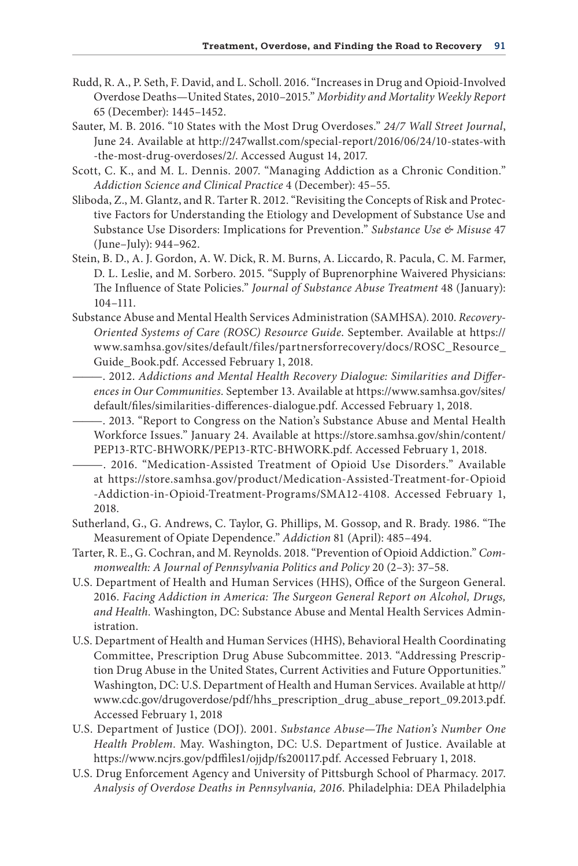- Rudd, R. A., P. Seth, F. David, and L. Scholl. 2016. "Increases in Drug and Opioid-Involved Overdose Deaths—United States, 2010–2015." *Morbidity and Mortality Weekly Report*  65 (December): 1445–1452.
- Sauter, M. B. 2016. "10 States with the Most Drug Overdoses." *24/7 Wall Street Journal*, June 24. Available at http://247wallst.com/special-report/2016/06/24/10-states-with -the-most-drug-overdoses/2/. Accessed August 14, 2017.
- Scott, C. K., and M. L. Dennis. 2007. "Managing Addiction as a Chronic Condition." *Addiction Science and Clinical Practice* 4 (December): 45–55.
- Sliboda, Z., M. Glantz, and R. Tarter R. 2012. "Revisiting the Concepts of Risk and Protective Factors for Understanding the Etiology and Development of Substance Use and Substance Use Disorders: Implications for Prevention." *Substance Use & Misuse* 47 (June–July): 944–962.
- Stein, B. D., A. J. Gordon, A. W. Dick, R. M. Burns, A. Liccardo, R. Pacula, C. M. Farmer, D. L. Leslie, and M. Sorbero. 2015. "Supply of Buprenorphine Waivered Physicians: The Influence of State Policies." *Journal of Substance Abuse Treatment* 48 (January): 104–111.
- Substance Abuse and Mental Health Services Administration (SAMHSA). 2010. *Recovery-Oriented Systems of Care (ROSC) Resource Guide*. September. Available at https:// www.samhsa.gov/sites/default/files/partnersforrecovery/docs/ROSC\_Resource\_ Guide\_Book.pdf. Accessed February 1, 2018.
- ———. 2012. *Addictions and Mental Health Recovery Dialogue: Similarities and Differences in Our Communities.* September 13. Available at https://www.samhsa.gov/sites/ default/files/similarities- differences- dialogue.pdf. Accessed February 1, 2018.
- ———. 2013. "Report to Congress on the Nation's Substance Abuse and Mental Health Workforce Issues." January 24. Available at https://store.samhsa.gov/shin/content/ PEP13-RTC-BHWORK/PEP13-RTC-BHWORK.pdf. Accessed February 1, 2018.
	- ———. 2016. "Medication- Assisted Treatment of Opioid Use Disorders." Available at https://store.samhsa.gov/product/Medication-Assisted-Treatment-for-Opioid -Addiction-in-Opioid-Treatment-Programs/SMA12-4108. Accessed February 1, 2018.
- Sutherland, G., G. Andrews, C. Taylor, G. Phillips, M. Gossop, and R. Brady. 1986. "The Measurement of Opiate Dependence." *Addiction* 81 (April): 485–494.
- Tarter, R. E., G. Cochran, and M. Reynolds. 2018. "Prevention of Opioid Addiction." *Commonwealth: A Journal of Pennsylvania Politics and Policy* 20 (2–3): 37–58.
- U.S. Department of Health and Human Services (HHS), Office of the Surgeon General. 2016. *Facing Addiction in America: The Surgeon General Report on Alcohol, Drugs, and Health.* Washington, DC: Substance Abuse and Mental Health Services Administration.
- U.S. Department of Health and Human Services (HHS), Behavioral Health Coordinating Committee, Prescription Drug Abuse Subcommittee. 2013. "Addressing Prescription Drug Abuse in the United States, Current Activities and Future Opportunities." Washington, DC: U.S. Department of Health and Human Services. Available at http// www.cdc.gov/drugoverdose/pdf/hhs\_prescription\_drug\_abuse\_report\_09.2013.pdf. Accessed February 1, 2018
- U.S. Department of Justice (DOJ). 2001. *Substance Abuse—The Nation's Number One Health Problem.* May. Washington, DC: U.S. Department of Justice. Available at https://www.ncjrs.gov/pdffiles1/ojjdp/fs200117.pdf. Accessed February 1, 2018.
- U.S. Drug Enforcement Agency and University of Pittsburgh School of Pharmacy. 2017. *Analysis of Overdose Deaths in Pennsylvania, 2016*. Philadelphia: DEA Philadelphia